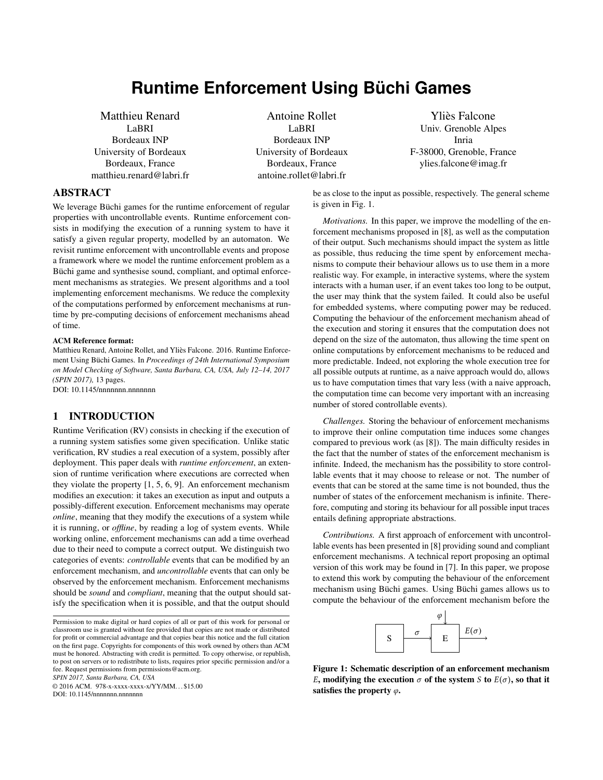# **Runtime Enforcement Using Büchi Games**

Matthieu Renard LaBRI Bordeaux INP University of Bordeaux Bordeaux, France matthieu.renard@labri.fr

Antoine Rollet LaBRI Bordeaux INP University of Bordeaux Bordeaux, France antoine.rollet@labri.fr

Ylies Falcone ` Univ. Grenoble Alpes Inria F-38000, Grenoble, France ylies.falcone@imag.fr

ABSTRACT

We leverage Büchi games for the runtime enforcement of regular properties with uncontrollable events. Runtime enforcement consists in modifying the execution of a running system to have it satisfy a given regular property, modelled by an automaton. We revisit runtime enforcement with uncontrollable events and propose a framework where we model the runtime enforcement problem as a Büchi game and synthesise sound, compliant, and optimal enforcement mechanisms as strategies. We present algorithms and a tool implementing enforcement mechanisms. We reduce the complexity of the computations performed by enforcement mechanisms at runtime by pre-computing decisions of enforcement mechanisms ahead of time.

#### ACM Reference format:

Matthieu Renard, Antoine Rollet, and Yliès Falcone. 2016. Runtime Enforcement Using Büchi Games. In Proceedings of 24th International Symposium *on Model Checking of Software, Santa Barbara, CA, USA, July 12–14, 2017 (SPIN 2017),* [13](#page-12-0) pages.

DOI: 10.1145/nnnnnnn.nnnnnnn

# 1 INTRODUCTION

Runtime Verification (RV) consists in checking if the execution of a running system satisfies some given specification. Unlike static verification, RV studies a real execution of a system, possibly after deployment. This paper deals with *runtime enforcement*, an extension of runtime verification where executions are corrected when they violate the property [\[1,](#page-8-0) [5,](#page-8-1) [6,](#page-9-0) [9\]](#page-9-1). An enforcement mechanism modifies an execution: it takes an execution as input and outputs a possibly-different execution. Enforcement mechanisms may operate *online*, meaning that they modify the executions of a system while it is running, or *offline*, by reading a log of system events. While working online, enforcement mechanisms can add a time overhead due to their need to compute a correct output. We distinguish two categories of events: *controllable* events that can be modified by an enforcement mechanism, and *uncontrollable* events that can only be observed by the enforcement mechanism. Enforcement mechanisms should be *sound* and *compliant*, meaning that the output should satisfy the specification when it is possible, and that the output should

*SPIN 2017, Santa Barbara, CA, USA*

© 2016 ACM. 978-x-xxxx-xxxx-x/YY/MM. . . \$15.00

DOI: 10.1145/nnnnnnn.nnnnnnn

be as close to the input as possible, respectively. The general scheme is given in Fig. [1.](#page-0-0)

*Motivations.* In this paper, we improve the modelling of the enforcement mechanisms proposed in [\[8\]](#page-9-2), as well as the computation of their output. Such mechanisms should impact the system as little as possible, thus reducing the time spent by enforcement mechanisms to compute their behaviour allows us to use them in a more realistic way. For example, in interactive systems, where the system interacts with a human user, if an event takes too long to be output, the user may think that the system failed. It could also be useful for embedded systems, where computing power may be reduced. Computing the behaviour of the enforcement mechanism ahead of the execution and storing it ensures that the computation does not depend on the size of the automaton, thus allowing the time spent on online computations by enforcement mechanisms to be reduced and more predictable. Indeed, not exploring the whole execution tree for all possible outputs at runtime, as a naive approach would do, allows us to have computation times that vary less (with a naive approach, the computation time can become very important with an increasing number of stored controllable events).

*Challenges.* Storing the behaviour of enforcement mechanisms to improve their online computation time induces some changes compared to previous work (as [\[8\]](#page-9-2)). The main difficulty resides in the fact that the number of states of the enforcement mechanism is infinite. Indeed, the mechanism has the possibility to store controllable events that it may choose to release or not. The number of events that can be stored at the same time is not bounded, thus the number of states of the enforcement mechanism is infinite. Therefore, computing and storing its behaviour for all possible input traces entails defining appropriate abstractions.

*Contributions.* A first approach of enforcement with uncontrollable events has been presented in [\[8\]](#page-9-2) providing sound and compliant enforcement mechanisms. A technical report proposing an optimal version of this work may be found in [\[7\]](#page-9-3). In this paper, we propose to extend this work by computing the behaviour of the enforcement mechanism using Büchi games. Using Büchi games allows us to compute the behaviour of the enforcement mechanism before the



<span id="page-0-0"></span>Figure 1: Schematic description of an enforcement mechanism E, modifying the execution  $\sigma$  of the system S to  $E(\sigma)$ , so that it satisfies the property  $\varphi$ .

Permission to make digital or hard copies of all or part of this work for personal or classroom use is granted without fee provided that copies are not made or distributed for profit or commercial advantage and that copies bear this notice and the full citation on the first page. Copyrights for components of this work owned by others than ACM must be honored. Abstracting with credit is permitted. To copy otherwise, or republish, to post on servers or to redistribute to lists, requires prior specific permission and/or a fee. Request permissions from permissions@acm.org.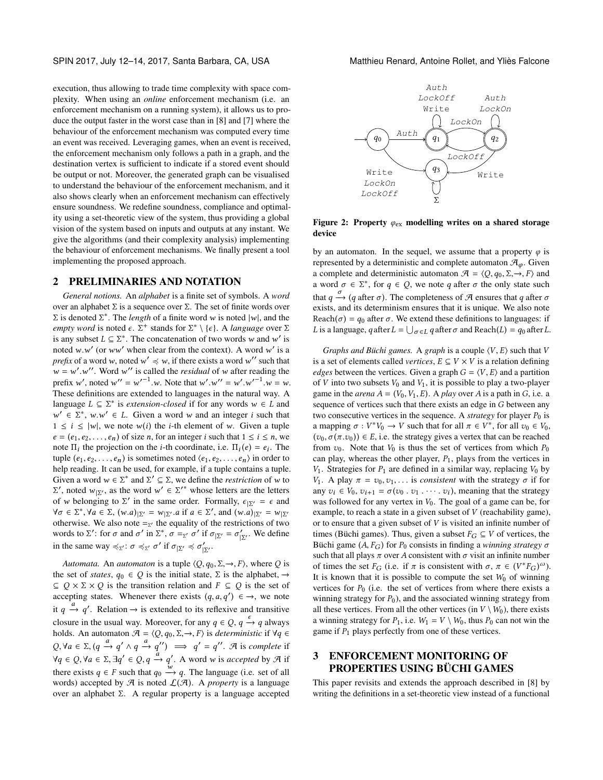execution, thus allowing to trade time complexity with space complexity. When using an *online* enforcement mechanism (i.e. an enforcement mechanism on a running system), it allows us to produce the output faster in the worst case than in [\[8\]](#page-9-2) and [\[7\]](#page-9-3) where the behaviour of the enforcement mechanism was computed every time an event was received. Leveraging games, when an event is received, the enforcement mechanism only follows a path in a graph, and the destination vertex is sufficient to indicate if a stored event should be output or not. Moreover, the generated graph can be visualised to understand the behaviour of the enforcement mechanism, and it also shows clearly when an enforcement mechanism can effectively ensure soundness. We redefine soundness, compliance and optimality using a set-theoretic view of the system, thus providing a global vision of the system based on inputs and outputs at any instant. We give the algorithms (and their complexity analysis) implementing the behaviour of enforcement mechanisms. We finally present a tool implementing the proposed approach.

## 2 PRELIMINARIES AND NOTATION

*General notions.* An *alphabet* is a finite set of symbols. A *word* over an alphabet Σ is a sequence over Σ. The set of finite words over  $\Sigma$  is denoted  $\Sigma^*$ . The *length* of a finite word w is noted  $|w|$ , and the *empty word* is noted  $\epsilon \Sigma^*$  stands for  $\Sigma^* \setminus \{c\}$ . A *language* over  $\Sigma$ *empty word* is noted  $\epsilon$ .  $\Sigma^+$  stands for  $\Sigma^* \setminus {\epsilon}$ . A *language* over  $\Sigma$  is any subset  $I \subset \Sigma^*$ . The concatenation of two words w and w' is is any subset  $L \subseteq \sum^*$ . The concatenation of two words w and w' is noted w w' (or way' when clear from the context). A word w' is a noted w.w' (or ww' when clear from the context). A word w' is a need w.w. of a word w' such that *prefix* of a word w, noted  $w' \preccurlyeq w$ , if there exists a word w'' such that  $w = w'$ . W'. Word w'' is called the *residual* of w after reading the<br>profix w' noted w'' = w'<sup>-1</sup> w. Note that w' w'' = w' w'<sup>-1</sup> w = w prefix w', noted w' = w'<sup>-1</sup>.w. Note that w'.w'' = w'.w'<sup>-1</sup>.w = w.<br>These definitions are extended to languages in the natural way. A These definitions are extended to languages in the natural way. A language  $L \subseteq \sum^*$  is *extension-closed* if for any words  $w \in L$  and  $w' \in \sum^* w w' \in L$  Given a word w and an integer *i* such that  $w' \in \Sigma^*$ ,  $w.w' \in L$ . Given a word w and an integer *i* such that  $1 \le i \le |w|$ , we note  $w(i)$  the *i*-th element of w. Given a tuple  $1 \le i \le |w|$ , we note  $w(i)$  the *i*-th element of w. Given a tuple  $e = (e_1, e_2, \dots, e_n)$  of size *n*, for an integer *i* such that  $1 \le i \le n$ , we note  $\Pi_i$  the projection on the *i*-th coordinate, i.e.  $\Pi_i(e) = e_i$ . The turbe  $(e_i, e_0, \ldots, e_n)$  is sometimes noted  $(e_i, e_0, \ldots, e_n)$  in order to tuple  $(e_1, e_2, \ldots, e_n)$  is sometimes noted  $\langle e_1, e_2, \ldots, e_n \rangle$  in order to help reading. It can be used, for example, if a tuple contains a tuple. Given a word  $w \in \Sigma^*$  and  $\Sigma' \subseteq \Sigma$ , we define the *restriction* of w to  $\Sigma'$ , noted  $w_{\text{max}}$  as the word  $w' \in \Sigma'^*$  whose letters are the letters  $\exists$  of w belonging to Σ' in the same order. Formally,  $\epsilon_{\vert \Sigma'} = \epsilon$  and  $\forall \alpha \in \Sigma^*$   $\forall \alpha \in \Sigma$  (w a)m = Wn a if  $a \in \Sigma'$  and (w a)m = Wn  $\alpha'$ , noted w<sub>|Σ'</sub>, as the word w' ∈ Σ'<sup>\*</sup> whose letters are the letters  $\alpha'$  whose letters are the letters  $\forall \sigma \in \Sigma^*, \forall a \in \Sigma, (w.a)_{\vert \Sigma'} = w_{\vert \Sigma'}$ , and  $(w.a)_{\vert \Sigma'} = w_{\vert \Sigma'}$  otherwise. We also note  $-w$  the equality of the restrictions of two otherwise. We also note  $=_{Z'}$  the equality of the restrictions of two words to  $\Sigma'$ : for  $\sigma$  and  $\sigma'$  in  $\Sigma^*$ ,  $\sigma =_{\Sigma'} \sigma'$  if  $\sigma_{|\Sigma'} = \sigma'_{|\Sigma'}$ . We define in the same way  $\prec_{\sigma'} \sigma \prec_{\sigma'} \sigma'$  if  $\sigma_{|\Sigma'} \prec \sigma'$ in the same way  $\preccurlyeq_{\Sigma'}: \sigma \preccurlyeq_{\Sigma'} \sigma'$  if  $\sigma_{|\Sigma'} \preccurlyeq \sigma'_{|\Sigma'}$ .

*Automata.* An *automaton* is a tuple  $\langle Q, q_0, \Sigma, \rightarrow, F \rangle$ , where Q is the set of *states*,  $q_0 \in Q$  is the initial state,  $\Sigma$  is the alphabet,  $\rightarrow$  $\subseteq Q \times \Sigma \times Q$  is the transition relation and  $F \subseteq Q$  is the set of accepting states. Whenever there exists  $(q, a, q') \in \rightarrow$ , we note it  $q \stackrel{a}{\rightarrow} q'$ . Relation  $\rightarrow$  is extended to its reflexive and transitive closure in the usual way. Moreover, for any  $q \in Q$ ,  $q \rightarrow q$  always holds. An automaton  $\mathcal{A} = \langle Q, q_0, \Sigma, \rightarrow, F \rangle$  is *deterministic* if  $\forall q \in$  $Q, \forall a \in \Sigma, (q \stackrel{a}{\rightarrow} q' \land q \stackrel{a}{\rightarrow} q'') \implies q' = q''$ . A is *complete* if  $\forall q \in Q, \forall a \in \Sigma, \exists q' \in Q, q \xrightarrow{a} q'.$  A word w is *accepted* by  $\mathcal{A}$  if there exists  $q \in F$  such that  $q_0 \stackrel{\text{w}}{\longrightarrow} q$ . The language (i.e. set of all words) accepted by  $\mathcal A$  is noted  $\mathcal L(\mathcal A)$ . A *property* is a language over an alphabet Σ. A regular property is a language accepted

<span id="page-1-0"></span>

Figure 2: Property  $\varphi_{\text{ex}}$  modelling writes on a shared storage device

by an automaton. In the sequel, we assume that a property  $\varphi$  is represented by a deterministic and complete automaton  $\mathcal{A}_{\varphi}$ . Given a complete and deterministic automaton  $\mathcal{A} = \langle Q, q_0, \Sigma, \rightarrow, F \rangle$  and a word  $\sigma \in \Sigma^*$ , for  $q \in Q$ , we note q after  $\sigma$  the only state such that  $q \rightarrow (q$  after  $\sigma$ ). The completeness of A ensures that q after  $\sigma$ <br>exists and its determinism ensures that it is unique. We also note exists, and its determinism ensures that it is unique. We also note Reach( $\sigma$ ) =  $q_0$  after  $\sigma$ . We extend these definitions to languages: if L is a language,  $q$  after  $L = \bigcup_{\sigma \in L} q$  after  $\sigma$  and  $\text{Reach}(L) = q_0$  after L.

*Graphs and Büchi games.* A *graph* is a couple  $\langle V, E \rangle$  such that V is a set of elements called *vertices*,  $E \subseteq V \times V$  is a relation defining *edges* between the vertices. Given a graph  $G = \langle V, E \rangle$  and a partition of  $V$  into two subsets  $V_0$  and  $V_1$ , it is possible to play a two-player game in the *arena*  $A = (V_0, V_1, E)$ . A *play* over A is a path in G, i.e. a sequence of vertices such that there exists an edge in G between any two consecutive vertices in the sequence. A *strategy* for player  $P_0$  is a mapping  $\sigma: V^*V_0 \to V$  such that for all  $\pi \in V^*$ , for all  $v_0 \in V_0$ ,  $(v_0, \sigma(\pi, v_0)) \in E$ , i.e. the strategy gives a vertex that can be reached from  $v_0$ . Note that  $V_0$  is thus the set of vertices from which  $P_0$ can play, whereas the other player,  $P_1$ , plays from the vertices in  $V_1$ . Strategies for  $P_1$  are defined in a similar way, replacing  $V_0$  by V<sub>1</sub>. A play  $\pi = v_0, v_1, \ldots$  is *consistent* with the strategy  $\sigma$  if for any  $v_i \in V_0$ ,  $v_{i+1} = \sigma(v_0 \cdot v_1 \cdot \cdots \cdot v_i)$ , meaning that the strategy<br>was followed for any vertex in  $V_0$ . The goal of a game can be for was followed for any vertex in  $V_0$ . The goal of a game can be, for example, to reach a state in a given subset of V (reachability game), or to ensure that a given subset of  $V$  is visited an infinite number of times (Büchi games). Thus, given a subset  $F_G \subseteq V$  of vertices, the Büchi game  $(A, F_G)$  for  $P_0$  consists in finding a *winning strategy*  $\sigma$ such that all plays  $\pi$  over A consistent with  $\sigma$  visit an infinite number of times the set  $F_G$  (i.e. if  $\pi$  is consistent with  $\sigma$ ,  $\pi \in (V^*F_G)^{\omega}$ ).<br>It is known that it is possible to compute the set  $W_G$  of winning It is known that it is possible to compute the set  $W_0$  of winning vertices for  $P_0$  (i.e. the set of vertices from where there exists a winning strategy for  $P_0$ ), and the associated winning strategy from all these vertices. From all the other vertices (in  $V \setminus W_0$ ), there exists a winning strategy for  $P_1$ , i.e.  $W_1 = V \setminus W_0$ , thus  $P_0$  can not win the game if  $P_1$  plays perfectly from one of these vertices.

# <span id="page-1-1"></span>3 ENFORCEMENT MONITORING OF PROPERTIES USING BÜCHI GAMES

This paper revisits and extends the approach described in [\[8\]](#page-9-2) by writing the definitions in a set-theoretic view instead of a functional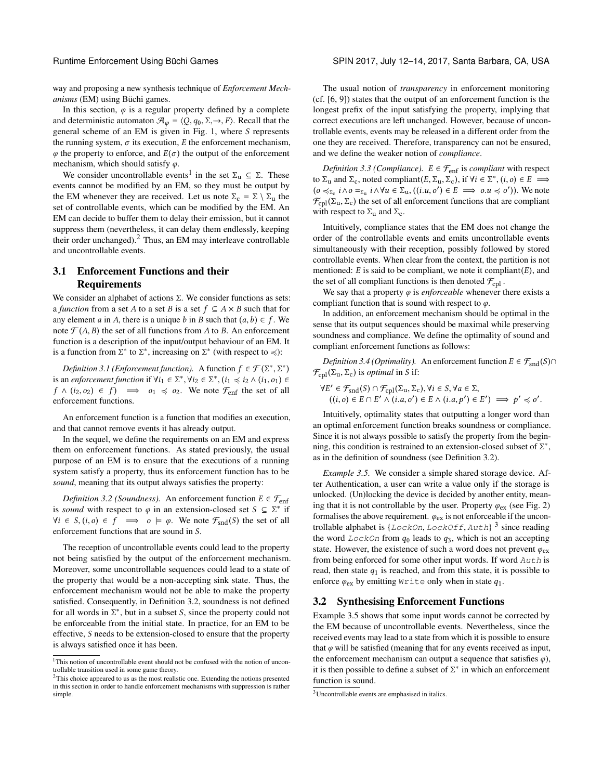way and proposing a new synthesis technique of *Enforcement Mechanisms* (EM) using Büchi games.

In this section,  $\varphi$  is a regular property defined by a complete and deterministic automaton  $\mathcal{A}_{\varphi} = \langle Q, q_0, \Sigma, \rightarrow, F \rangle$ . Recall that the general scheme of an EM is given in Fig. [1,](#page-0-0) where S represents the running system,  $\sigma$  its execution, E the enforcement mechanism,  $\varphi$  the property to enforce, and  $E(\sigma)$  the output of the enforcement mechanism, which should satisfy  $\varphi$ .

We consider uncontrollable events<sup>[1](#page-2-0)</sup> in the set  $\Sigma_u \subseteq \Sigma$ . These events cannot be modified by an EM, so they must be output by the EM whenever they are received. Let us note  $\Sigma_c = \Sigma \setminus \Sigma_u$  the set of controllable events, which can be modified by the EM. An EM can decide to buffer them to delay their emission, but it cannot suppress them (nevertheless, it can delay them endlessly, keeping their order unchanged). $<sup>2</sup>$  $<sup>2</sup>$  $<sup>2</sup>$  Thus, an EM may interleave controllable</sup> and uncontrollable events.

# 3.1 Enforcement Functions and their **Requirements**

We consider an alphabet of actions  $\Sigma$ . We consider functions as sets: a *function* from a set A to a set B is a set  $f \subseteq A \times B$  such that for any element a in A, there is a unique b in B such that  $(a, b) \in f$ . We note  $\mathcal{F}(A, B)$  the set of all functions from A to B. An enforcement function is a description of the input/output behaviour of an EM. It is a function from  $\Sigma^*$  to  $\Sigma^*$ , increasing on  $\Sigma^*$  (with respect to  $\preccurlyeq$ ):

<span id="page-2-5"></span>*Definition 3.1 (Enforcement function).* A function  $f \in \mathcal{F}(\Sigma^*, \Sigma^*)$ is an *enforcement function* if  $\forall i_1 \in \Sigma^*$ ,  $\forall i_2 \in \Sigma^*$ ,  $(i_1 \preccurlyeq i_2 \land (i_1, o_1) \in$ <br> $f \land (i_2, o_2) \in f$   $\implies$   $o_1 \preccurlyeq o_2$ . We note  $\mathcal{F}_e$  the set of all  $f \wedge (i_2, o_2) \in f$   $\implies o_1 \preccurlyeq o_2$ . We note  $\mathcal{F}_{\text{enf}}$  the set of all enforcement functions.

An enforcement function is a function that modifies an execution, and that cannot remove events it has already output.

In the sequel, we define the requirements on an EM and express them on enforcement functions. As stated previously, the usual purpose of an EM is to ensure that the executions of a running system satisfy a property, thus its enforcement function has to be *sound*, meaning that its output always satisfies the property:

<span id="page-2-2"></span>*Definition 3.2 (Soundness).* An enforcement function  $E \in \mathcal{F}_{\text{enf}}$ is *sound* with respect to  $\varphi$  in an extension-closed set  $S \subseteq \sum^*$  if  $\forall i \in S, (i, o) \in f \implies o \models \varphi$ . We note  $\mathcal{F}_{\text{snd}}(S)$  the set of all enforcement functions that are sound in S.

The reception of uncontrollable events could lead to the property not being satisfied by the output of the enforcement mechanism. Moreover, some uncontrollable sequences could lead to a state of the property that would be a non-accepting sink state. Thus, the enforcement mechanism would not be able to make the property satisfied. Consequently, in Definition [3.2,](#page-2-2) soundness is not defined for all words in  $\Sigma^*$ , but in a subset S, since the property could not be enforceable from the initial state. In practice, for an EM to be be enforceable from the initial state. In practice, for an EM to be effective, S needs to be extension-closed to ensure that the property is always satisfied once it has been.

The usual notion of *transparency* in enforcement monitoring (cf. [\[6,](#page-9-0) [9\]](#page-9-1)) states that the output of an enforcement function is the longest prefix of the input satisfying the property, implying that correct executions are left unchanged. However, because of uncontrollable events, events may be released in a different order from the one they are received. Therefore, transparency can not be ensured, and we define the weaker notion of *compliance*.

<span id="page-2-6"></span>*Definition 3.3 (Compliance).*  $E \in \mathcal{F}_{\text{enf}}$  is *compliant* with respect to  $\Sigma_u$  and  $\Sigma_c$ , noted compliant $(E, \Sigma_u, \Sigma_c)$ , if  $\forall i \in \Sigma^*, (i, o) \in E \implies$  $(0 \leq_{\Sigma_{\rm c}} i \wedge \sigma =_{\Sigma_{\rm u}} i \wedge \forall u \in \Sigma_{\rm u}, ((i.u, \sigma') \in E \implies o.u \leq \sigma'))$ . We note  $\mathcal{F}_{\text{cpl}}(\Sigma_{\text{u}}, \Sigma_{\text{c}})$  the set of all enforcement functions that are compliant with respect to  $\Sigma_u$  and  $\Sigma_c$ .

Intuitively, compliance states that the EM does not change the order of the controllable events and emits uncontrollable events simultaneously with their reception, possibly followed by stored controllable events. When clear from the context, the partition is not mentioned:  $E$  is said to be compliant, we note it compliant $(E)$ , and the set of all compliant functions is then denoted  $\mathcal{F}_{\text{cpl}}$ .

We say that a property  $\varphi$  is *enforceable* whenever there exists a compliant function that is sound with respect to  $\varphi$ .

In addition, an enforcement mechanism should be optimal in the sense that its output sequences should be maximal while preserving soundness and compliance. We define the optimality of sound and compliant enforcement functions as follows:

<span id="page-2-7"></span>*Definition 3.4 (Optimality).* An enforcement function  $E \in \mathcal{F}_{\text{snd}}(S) \cap$  $\mathcal{F}_{\text{cpl}}(\Sigma_{\text{u}}, \Sigma_{\text{c}})$  is *optimal* in S if:

$$
\forall E' \in \mathcal{F}_{\text{snd}}(S) \cap \mathcal{F}_{\text{cpl}}(\Sigma_{\mathbf{u}}, \Sigma_{\mathbf{c}}), \forall i \in S, \forall a \in \Sigma, ((i, o) \in E \cap E' \land (i.a, o') \in E \land (i.a, p') \in E') \implies p' \preccurlyeq o'.
$$

Intuitively, optimality states that outputting a longer word than an optimal enforcement function breaks soundness or compliance. Since it is not always possible to satisfy the property from the beginning, this condition is restrained to an extension-closed subset of  $\Sigma^*$ , as in the definition of soundness (see Definition 3.2) as in the definition of soundness (see Definition [3.2\)](#page-2-2).

<span id="page-2-4"></span>*Example 3.5.* We consider a simple shared storage device. After Authentication, a user can write a value only if the storage is unlocked. (Un)locking the device is decided by another entity, meaning that it is not controllable by the user. Property  $\varphi_{ex}$  (see Fig. [2\)](#page-1-0) formalises the above requirement.  $\varphi_{\text{ex}}$  is not enforceable if the uncontrollable alphabet is  ${LockOn, LockOff, Author}$ <sup>[3](#page-2-3)</sup> since reading<br>the word  $LockOn$  from  $a_2$  leads to  $a_2$ , which is not an accepting the word  $LockOn$  from  $q_0$  leads to  $q_3$ , which is not an accepting state. However, the existence of such a word does not prevent  $\varphi_{\text{ex}}$ from being enforced for some other input words. If word Auth is read, then state  $q_1$  is reached, and from this state, it is possible to enforce  $\varphi_{\text{ex}}$  by emitting Write only when in state  $q_1$ .

### <span id="page-2-8"></span>3.2 Synthesising Enforcement Functions

Example [3.5](#page-2-4) shows that some input words cannot be corrected by the EM because of uncontrollable events. Nevertheless, since the received events may lead to a state from which it is possible to ensure that  $\varphi$  will be satisfied (meaning that for any events received as input, the enforcement mechanism can output a sequence that satisfies  $\varphi$ ), it is then possible to define a subset of  $\Sigma^*$  in which an enforcement<br>function is sound function is sound.

<span id="page-2-0"></span><sup>&</sup>lt;sup>1</sup>This notion of uncontrollable event should not be confused with the notion of uncontrollable transition used in some game theory.

<span id="page-2-1"></span><sup>&</sup>lt;sup>2</sup>This choice appeared to us as the most realistic one. Extending the notions presented in this section in order to handle enforcement mechanisms with suppression is rather simple.

<span id="page-2-3"></span><sup>3</sup>Uncontrollable events are emphasised in italics.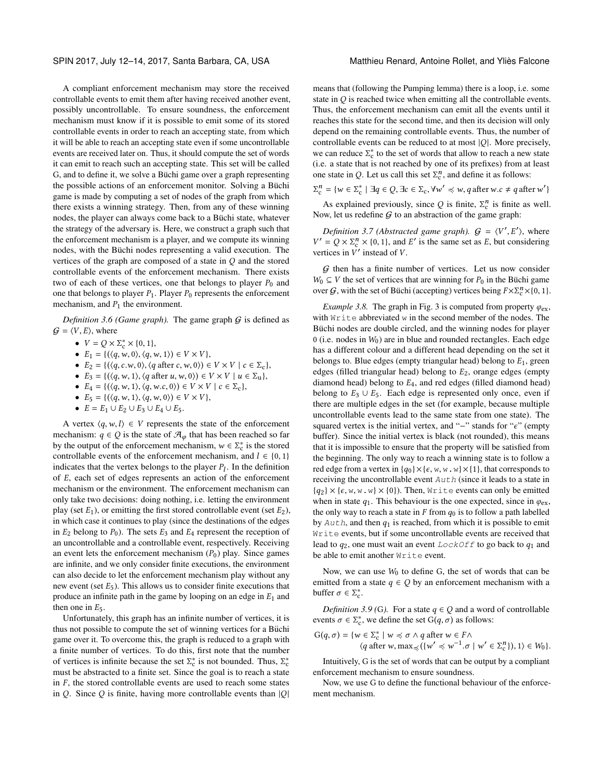SPIN 2017, July 12–14, 2017, Santa Barbara, CA, USA Matthieu Renard, Antoine Rollet, and Yliès Falcone

A compliant enforcement mechanism may store the received controllable events to emit them after having received another event, possibly uncontrollable. To ensure soundness, the enforcement mechanism must know if it is possible to emit some of its stored controllable events in order to reach an accepting state, from which it will be able to reach an accepting state even if some uncontrollable events are received later on. Thus, it should compute the set of words it can emit to reach such an accepting state. This set will be called G, and to define it, we solve a Büchi game over a graph representing the possible actions of an enforcement monitor. Solving a Büchi game is made by computing a set of nodes of the graph from which there exists a winning strategy. Then, from any of these winning nodes, the player can always come back to a Büchi state, whatever the strategy of the adversary is. Here, we construct a graph such that the enforcement mechanism is a player, and we compute its winning nodes, with the Büchi nodes representing a valid execution. The vertices of the graph are composed of a state in  $Q$  and the stored controllable events of the enforcement mechanism. There exists two of each of these vertices, one that belongs to player  $P_0$  and one that belongs to player  $P_1$ . Player  $P_0$  represents the enforcement mechanism, and  $P_1$  the environment.

<span id="page-3-2"></span>*Definition 3.6 (Game graph)*. The game graph  $G$  is defined as  $G = \langle V, E \rangle$ , where

- $V = Q \times \Sigma_c^* \times \{0, 1\},$ <br>•  $F_t = \frac{f}{a} \times \frac{g}{b} \times \frac{f}{a}$
- $E_1 = \{(\langle q, w, 0 \rangle, \langle q, w, 1 \rangle) \in V \times V\},\$
- $E_2 = \{ (\langle q, c, w, 0 \rangle, \langle q \text{ after } c, w, 0 \rangle) \in V \times V \mid c \in \Sigma_c \},\$
- $E_3 = \{ (\langle q, w, 1 \rangle, \langle q \text{ after } u, w, 0 \rangle) \in V \times V \mid u \in \Sigma_u \},\$
- $E_4 = \{(\langle q, w, 1 \rangle, \langle q, w.c, 0 \rangle) \in V \times V \mid c \in \Sigma_c\},\$
- $E_5 = \{(\langle q, w, 1 \rangle, \langle q, w, 0 \rangle) \in V \times V\},\$
- $E = E_1 \cup E_2 \cup E_3 \cup E_4 \cup E_5$ .

A vertex  $\langle q, w, l \rangle \in V$  represents the state of the enforcement mechanism:  $q \in Q$  is the state of  $\mathcal{A}_{\varphi}$  that has been reached so far by the output of the enforcement mechanism,  $w \in \sum_{k=0}^{8}$  is the stored controllable events of the enforcement mechanism, and  $l \in \{0, 1\}$ controllable events of the enforcement mechanism, and  $l \in \{0, 1\}$ indicates that the vertex belongs to the player  $P_l$ . In the definition<br>of  $F$  each set of edges represents an action of the enforcement of E, each set of edges represents an action of the enforcement mechanism or the environment. The enforcement mechanism can only take two decisions: doing nothing, i.e. letting the environment play (set  $E_1$ ), or emitting the first stored controllable event (set  $E_2$ ), in which case it continues to play (since the destinations of the edges in  $E_2$  belong to  $P_0$ ). The sets  $E_3$  and  $E_4$  represent the reception of an uncontrollable and a controllable event, respectively. Receiving an event lets the enforcement mechanism  $(P_0)$  play. Since games are infinite, and we only consider finite executions, the environment can also decide to let the enforcement mechanism play without any new event (set  $E_5$ ). This allows us to consider finite executions that produce an infinite path in the game by looping on an edge in  $E_1$  and then one in  $E_5$ .

Unfortunately, this graph has an infinite number of vertices, it is thus not possible to compute the set of winning vertices for a Büchi game over it. To overcome this, the graph is reduced to a graph with a finite number of vertices. To do this, first note that the number of vertices is infinite because the set  $\Sigma_c^*$  is not bounded. Thus,  $\Sigma_c^*$ <br>must be abstracted to a finite set. Since the goal is to reach a state must be abstracted to a finite set. Since the goal is to reach a state in  $F$ , the stored controllable events are used to reach some states in  $Q$ . Since  $Q$  is finite, having more controllable events than  $|Q|$ 

means that (following the Pumping lemma) there is a loop, i.e. some state in Q is reached twice when emitting all the controllable events. Thus, the enforcement mechanism can emit all the events until it reaches this state for the second time, and then its decision will only depend on the remaining controllable events. Thus, the number of controllable events can be reduced to at most  $|Q|$ . More precisely, we can reduce  $\Sigma_c^*$  to the set of words that allow to reach a new state<br>(i.e. a state that is not reached by one of its prefixes) from at least (i.e. a state that is not reached by one of its prefixes) from at least one state in Q. Let us call this set  $\Sigma_c^n$ , and define it as follows:

 $\Sigma_c^n = \{ w \in \Sigma_c^* \mid \exists q \in Q, \exists c \in \Sigma_c, \forall w' \preccurlyeq w, q \text{ after } w.c \neq q \text{ after } w' \}$ 

As explained previously, since Q is finite,  $\Sigma_c^n$  is finite as well.<br>we let us redefine G to an abstraction of the game graph: Now, let us redefine  $G$  to an abstraction of the game graph:

<span id="page-3-3"></span>*Definition 3.7 (Abstracted game graph).*  $G = \langle V', E' \rangle$ , where  $= O \times \mathbb{S}^n \times 10, 11$  and  $F'$  is the same set as  $F$ , but considering  $V' = Q \times \Sigma_0^n \times \{0, 1\}$ , and E' is the same set as E, but considering vertices in V' instead of V vertices in  $V'$  instead of  $V$ .

 $G$  then has a finite number of vertices. Let us now consider  $W_0 \subseteq V$  the set of vertices that are winning for  $P_0$  in the Büchi game over  $G$ , with the set of Büchi (accepting) vertices being  $F \times \sum_{c}^{n} \times \{0, 1\}$ .

<span id="page-3-0"></span>*Example [3](#page-3-0).8.* The graph in Fig. 3 is computed from property  $\varphi_{ex}$ , with Write abbreviated w in the second member of the nodes. The Büchi nodes are double circled, and the winning nodes for player 0 (i.e. nodes in  $W_0$ ) are in blue and rounded rectangles. Each edge has a different colour and a different head depending on the set it belongs to. Blue edges (empty triangular head) belong to  $E_1$ , green edges (filled triangular head) belong to  $E_2$ , orange edges (empty diamond head) belong to  $E_4$ , and red edges (filled diamond head) belong to  $E_3 \cup E_5$ . Each edge is represented only once, even if there are multiple edges in the set (for example, because multiple uncontrollable events lead to the same state from one state). The squared vertex is the initial vertex, and "−" stands for " $\epsilon$ " (empty buffer). Since the initial vertex is black (not rounded), this means that it is impossible to ensure that the property will be satisfied from the beginning. The only way to reach a winning state is to follow a red edge from a vertex in  $\{q_0\} \times \{\epsilon, w, w, w\} \times \{1\}$ , that corresponds to receiving the uncontrollable event Auth (since it leads to a state in  ${q_2} \times {\epsilon, w, w, w} \times {0}$ . Then, Write events can only be emitted when in state  $q_1$ . This behaviour is the one expected, since in  $\varphi_{ex}$ , the only way to reach a state in F from  $q_0$  is to follow a path labelled by  $Auth$ , and then  $q_1$  is reached, from which it is possible to emit Write events, but if some uncontrollable events are received that lead to  $q_2$ , one must wait an event LockOff to go back to  $q_1$  and be able to emit another  $Write$  event.

Now, we can use  $W_0$  to define G, the set of words that can be emitted from a state  $q \in Q$  by an enforcement mechanism with a buffer  $\sigma \in \Sigma_{c}^{*}$ .

*Definition 3.9 (G).* For a state  $q \in Q$  and a word of controllable events  $\sigma \in \Sigma_c^*$ , we define the set  $G(q, \sigma)$  as follows:

$$
G(q, \sigma) = \{ w \in \Sigma_c^* \mid w \preccurlyeq \sigma \land q \text{ after } w \in F \land
$$
  
 
$$
\langle q \text{ after } w, \max_{\preccurlyeq} (\{ w' \preccurlyeq w^{-1} . \sigma \mid w' \in \Sigma_c^n \}), 1 \rangle \in W_0 \}.
$$

Intuitively, G is the set of words that can be output by a compliant enforcement mechanism to ensure soundness.

<span id="page-3-1"></span>Now, we use G to define the functional behaviour of the enforcement mechanism.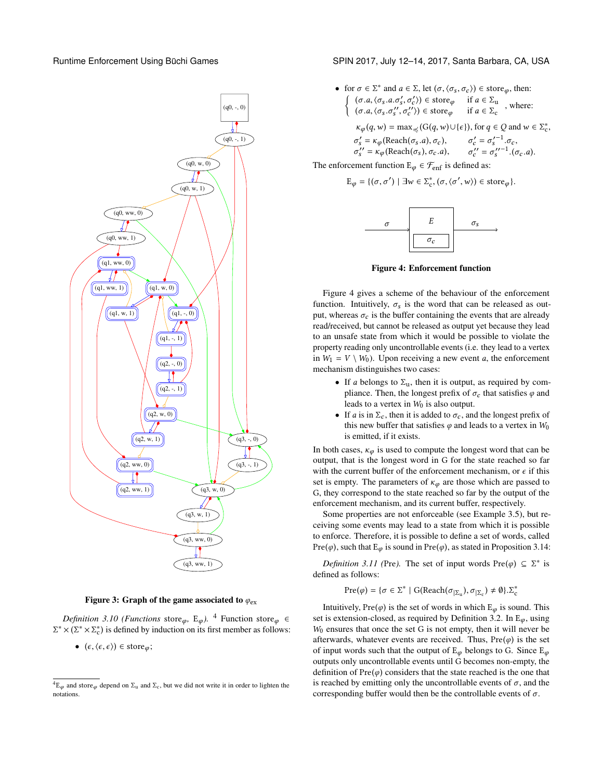

Figure 3: Graph of the game associated to  $\varphi_{\text{ex}}$ 

*Definition 3.10 (Functions* store<sub>φ</sub>, E<sub>φ</sub>).<sup>[4](#page-4-0)</sup> Function store<sub>φ</sub> ∈  $\Sigma^* \times (\Sigma^* \times \Sigma_c^*)$  is defined by induction on its first member as follows:

•  $(\epsilon, \langle \epsilon, \epsilon \rangle) \in \text{store}_{\varphi};$ 

Runtime Enforcement Using Büchi Games Service SPIN 2017, July 12–14, 2017, Santa Barbara, CA, USA

• for 
$$
\sigma \in \Sigma^*
$$
 and  $a \in \Sigma$ , let  $(\sigma, \langle \sigma_s, \sigma_c \rangle) \in \text{store}_{\varphi}$ , then:  
\n
$$
\begin{cases}\n(\sigma.a, \langle \sigma_s.a. \sigma'_s, \sigma'_c \rangle) \in \text{store}_{\varphi} & \text{if } a \in \Sigma_u \\
(\sigma.a, \langle \sigma_s. \sigma''_s, \sigma''_c \rangle) \in \text{store}_{\varphi} & \text{if } a \in \Sigma_c\n\end{cases}
$$
, where:  
\n
$$
\kappa_{\varphi}(q, w) = \max_{\preceq} \langle G(q, w) \cup \{\epsilon\} \rangle, \text{ for } q \in Q \text{ and } w \in \Sigma_c^*
$$
,  
\n
$$
\sigma'_s = \kappa_{\varphi}(\text{Reach}(\sigma_s.a), \sigma_c), \qquad \sigma'_c = \sigma'_s \qquad \sigma'_c.
$$
  
\n
$$
\sigma''_s' = \kappa_{\varphi}(\text{Reach}(\sigma_s), \sigma_c.a), \qquad \sigma''_c' = \sigma''_s \qquad \qquad (\sigma_c.a).
$$

<span id="page-4-1"></span>The enforcement function  $E_{\varphi} \in \mathcal{F}_{\text{enf}}$  is defined as:

$$
\mathrm{E}_{\varphi} = \{(\sigma, \sigma') \mid \exists w \in \Sigma_{\mathrm{c}}^*, (\sigma, \langle \sigma', w \rangle) \in \mathrm{store}_{\varphi}\}.
$$



Figure 4: Enforcement function

Figure [4](#page-4-1) gives a scheme of the behaviour of the enforcement function. Intuitively,  $\sigma_s$  is the word that can be released as output, whereas  $\sigma_c$  is the buffer containing the events that are already read/received, but cannot be released as output yet because they lead to an unsafe state from which it would be possible to violate the property reading only uncontrollable events (i.e. they lead to a vertex in  $W_1 = V \setminus W_0$ . Upon receiving a new event *a*, the enforcement mechanism distinguishes two cases:

- If a belongs to  $\Sigma_u$ , then it is output, as required by compliance. Then, the longest prefix of  $\sigma_c$  that satisfies  $\varphi$  and leads to a vertex in  $W_0$  is also output.
- If a is in  $\Sigma_c$ , then it is added to  $\sigma_c$ , and the longest prefix of this new buffer that satisfies  $\varphi$  and leads to a vertex in  $W_0$ is emitted, if it exists.

In both cases,  $\kappa_{\varphi}$  is used to compute the longest word that can be output, that is the longest word in G for the state reached so far with the current buffer of the enforcement mechanism, or  $\epsilon$  if this set is empty. The parameters of  $\kappa_{\varphi}$  are those which are passed to G, they correspond to the state reached so far by the output of the enforcement mechanism, and its current buffer, respectively.

Some properties are not enforceable (see Example [3.5\)](#page-2-4), but receiving some events may lead to a state from which it is possible to enforce. Therefore, it is possible to define a set of words, called Pre( $\varphi$ ), such that E<sub> $\varphi$ </sub> is sound in Pre( $\varphi$ ), as stated in Proposition [3.14:](#page-5-0)

*Definition 3.11* (Pre). The set of input words  $Pre(\varphi) \subseteq \Sigma^*$  is fined as follows: defined as follows:

$$
Pre(\varphi) = \{ \sigma \in \Sigma^* \mid G(Reach(\sigma_{|\Sigma_u}), \sigma_{|\Sigma_c}) \neq \emptyset \}. \Sigma_c^*
$$

Intuitively, Pre $(\varphi)$  is the set of words in which  $E_{\varphi}$  is sound. This set is extension-closed, as required by Definition [3.2.](#page-2-2) In  $E_{\varphi}$ , using  $W<sub>0</sub>$  ensures that once the set G is not empty, then it will never be afterwards, whatever events are received. Thus,  $Pre(\varphi)$  is the set of input words such that the output of  $E_{\varphi}$  belongs to G. Since  $E_{\varphi}$ outputs only uncontrollable events until G becomes non-empty, the definition of  $Pre(\varphi)$  considers that the state reached is the one that is reached by emitting only the uncontrollable events of  $\sigma$ , and the corresponding buffer would then be the controllable events of  $\sigma$ .

<span id="page-4-0"></span> ${}^4E_{\varphi}$  and store<sub> $\varphi$ </sub> depend on  $\Sigma_u$  and  $\Sigma_c$ , but we did not write it in order to lighten the notations.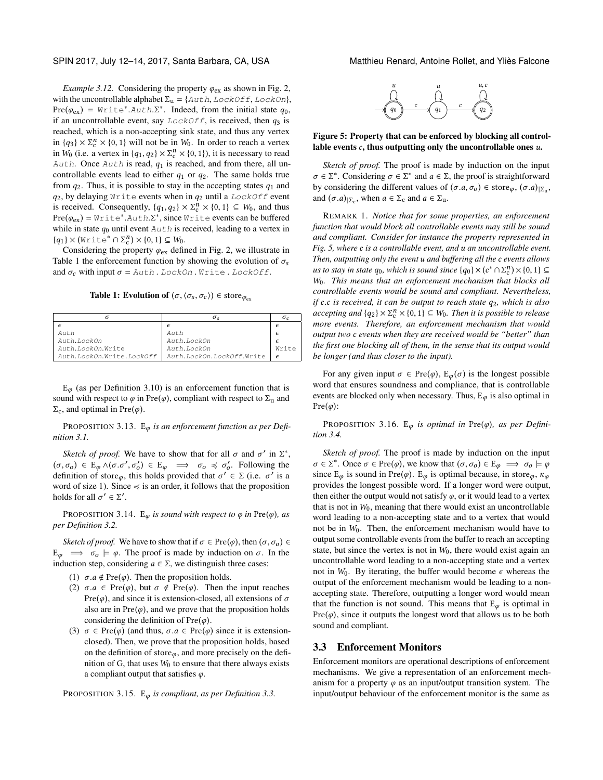*Example 3.12.* Considering the property  $\varphi_{\text{ex}}$  as shown in Fig. [2,](#page-1-0) with the uncontrollable alphabet  $\Sigma_{\mathbf{u}} = \{ \text{Aut } h, \text{LockOff}, \text{LockOn} \},\$ Pre( $\varphi_{\text{ex}}$ ) = Write<sup>\*</sup>.Auth.Σ<sup>\*</sup>. Indeed, from the initial state  $q_0$ , is incontrollable event say *LockOff* is received then  $q_0$  is if an uncontrollable event, say  $LockOff$ , is received, then  $q_3$  is reached, which is a non-accepting sink state, and thus any vertex in  $\{q_3\} \times \Sigma_c^n \times \{0, 1\}$  will not be in  $W_0$ . In order to reach a vertex<br>in  $W_0$  (i.e., a vertex in  $\{q_1, q_2\} \times \Sigma^n \times \{0, 1\}$ ) it is necessary to read in  $W_0$  (i.e. a vertex in  $\{q_1, q_2\} \times \Sigma_c^n \times \{0, 1\}$ ), it is necessary to read<br> $\lambda$ ut b. Once  $\lambda$ ut b is read,  $q_1$  is reached, and from there, all un-Auth. Once Auth is read,  $q_1$  is reached, and from there, all uncontrollable events lead to either  $q_1$  or  $q_2$ . The same holds true from  $q_2$ . Thus, it is possible to stay in the accepting states  $q_1$  and  $q_2$ , by delaying Write events when in  $q_2$  until a LockOff event is received. Consequently,  $\{q_1, q_2\} \times \Sigma_c^n \times \{0, 1\} \subseteq W_0$ , and thus<br>Pre(a) =  $W \text{min} \cap \Sigma_c^*$  and  $W \text{min} \cap \Sigma_c^*$  since  $W \text{min} \cap \Sigma_c^*$  caughts can be buffered Pre( $\varphi_{\text{ex}}$ ) = Write\*.Auth. $\Sigma^*$ , since Write events can be buffered while in state  $a_2$  until event  $\lambda$ uth is received leading to a vertex in while in state  $q_0$  until event  $Auth$  is received, leading to a vertex in  ${q_1} \times (\text{Write}^* \cap \Sigma_c^n) \times {0, 1} \subseteq W_0.$ <br>Considering the property  $\emptyset$  define

Considering the property  $\varphi_{\text{ex}}$  defined in Fig. [2,](#page-1-0) we illustrate in Table [1](#page-5-1) the enforcement function by showing the evolution of  $\sigma_s$ and  $\sigma_c$  with input  $\sigma =$  Auth. LockOn. Write. LockOff.

**Table 1: Evolution of**  $(\sigma, \langle \sigma_s, \sigma_c \rangle) \in \text{store}_{\varphi_{\text{ev}}}$ 

<span id="page-5-1"></span>

| $\sigma_{s}$              | $\sigma_c$          |
|---------------------------|---------------------|
|                           |                     |
| Auth                      | $\epsilon$          |
| Auth.LockOn               |                     |
| Auth. LockOn              | $Wri\vdash \varphi$ |
| Auth.LockOn.LockOff.Write | $\epsilon$          |
|                           |                     |

 $E_{\varphi}$  (as per Definition [3.10\)](#page-3-1) is an enforcement function that is sound with respect to  $\varphi$  in Pre( $\varphi$ ), compliant with respect to  $\Sigma_u$  and  $\Sigma_c$ , and optimal in Pre( $\varphi$ ).

PROPOSITION 3.13. E<sub>φ</sub> is an enforcement function as per Defi*nition [3.1.](#page-2-5)*

*Sketch of proof.* We have to show that for all  $\sigma$  and  $\sigma'$  in  $\Sigma^*$ ,  $\sigma \to \epsilon \Gamma$   $\Lambda(\sigma \sigma' \sigma') \in \Gamma$   $\longrightarrow \sigma \prec \sigma'$  Following the  $(\sigma, \sigma_o) \in \mathbb{E}_{\varphi} \wedge (\sigma, \sigma', \sigma_o') \in \mathbb{E}_{\varphi} \implies \sigma_o \preccurlyeq \sigma_o'$ . Following the definition of stare this holds provided that  $\sigma' \in \Sigma$  (i.e.  $\sigma'$  is a definition of storeφ, this holds provided that  $\sigma' \in \Sigma$  (i.e.  $\sigma'$  is a word of size 1). Since ∠ is an order it follows that the proposition word of size 1). Since  $\preccurlyeq$  is an order, it follows that the proposition holds for all  $\sigma' \in \Sigma'$ .

<span id="page-5-0"></span>PROPOSITION 3.14. E<sub>φ</sub> is sound with respect to  $\varphi$  in Pre( $\varphi$ ), as *per Definition [3.2.](#page-2-2)*

*Sketch of proof.* We have to show that if  $\sigma \in Pre(\varphi)$ , then  $(\sigma, \sigma_o) \in$  $E_{\varphi} \implies \sigma_o \models \varphi$ . The proof is made by induction on  $\sigma$ . In the induction step, considering  $a \in \Sigma$ , we distinguish three cases:

- (1)  $\sigma.a \notin \text{Pre}(\varphi)$ . Then the proposition holds.
- (2)  $\sigma.a \in Pre(\varphi)$ , but  $\sigma \notin Pre(\varphi)$ . Then the input reaches Pre( $\varphi$ ), and since it is extension-closed, all extensions of  $\sigma$ also are in  $Pre(\varphi)$ , and we prove that the proposition holds considering the definition of  $Pre(\varphi)$ .
- (3)  $\sigma \in \text{Pre}(\varphi)$  (and thus,  $\sigma.a \in \text{Pre}(\varphi)$  since it is extensionclosed). Then, we prove that the proposition holds, based on the definition of store $\varphi$ , and more precisely on the definition of G, that uses  $W_0$  to ensure that there always exists a compliant output that satisfies  $\varphi$ .

<sup>P</sup>ROPOSITION 3.15. <sup>E</sup>φ *is compliant, as per Definition [3.3.](#page-2-6)*



#### <span id="page-5-2"></span>Figure 5: Property that can be enforced by blocking all controllable events  $c$ , thus outputting only the uncontrollable ones  $u$ .

*Sketch of proof.* The proof is made by induction on the input  $\sigma \in \Sigma^*$ . Considering  $\sigma \in \Sigma^*$  and  $a \in \Sigma$ , the proof is straightforward<br>by considering the different values of  $(\sigma, a, \sigma) \in \text{store}$  ( $\sigma, a$ ) by considering the different values of  $(\sigma.a, \sigma_0) \in \text{store}_{\varphi}, (\sigma.a)_{\vert \Sigma_{\mathfrak{u}}},$ <br>and  $(\sigma.a)_{\vert \Sigma_{\mathfrak{u}}}$ , when  $a \in \Sigma$  and  $a \in \Sigma$ and  $(\sigma.a)_{|\Sigma_c}$ , when  $a \in \Sigma_c$  and  $a \in \Sigma_u$ .

REMARK 1. *Notice that for some properties, an enforcement function that would block all controllable events may still be sound and compliant. Consider for instance the property represented in Fig. [5,](#page-5-2) where* c *is a controllable event, and* u *an uncontrollable event. Then, outputting only the event* u *and buffering all the* c *events allows us to stay in state*  $q_0$ , which is sound since  $\{q_0\} \times (c^* \cap \Sigma_c^n) \times \{0, 1\}$  ⊆<br>We This means that an enforcement mechanism that blocks all W0*. This means that an enforcement mechanism that blocks all controllable events would be sound and compliant. Nevertheless, if* <sup>c</sup>.<sup>c</sup> *is received, it can be output to reach state* <sup>q</sup>2*, which is also accepting and*  $\{q_2\} \times \Sigma_c^n \times \{0, 1\} \subseteq W_0$ . Then it is possible to release<br>more events. Therefore, an enforcement mechanism that would *more events. Therefore, an enforcement mechanism that would output two* c *events when they are received would be "better" than the first one blocking all of them, in the sense that its output would be longer (and thus closer to the input).*

For any given input  $\sigma \in Pre(\varphi)$ ,  $E_{\varphi}(\sigma)$  is the longest possible word that ensures soundness and compliance, that is controllable events are blocked only when necessary. Thus,  $E_{\varphi}$  is also optimal in  $Pre(\varphi)$ :

PROPOSITION 3.16.  $E_{\varphi}$  *is optimal in* Pre $(\varphi)$ *, as per Definition [3.4.](#page-2-7)*

*Sketch of proof.* The proof is made by induction on the input  $\sigma \in \Sigma^*$ . Once  $\sigma \in \text{Pre}(\varphi)$ , we know that  $(\sigma, \sigma_0) \in E_{\varphi} \implies \sigma_0 \models \varphi$ <br>since E is sound in Pre $(\varphi)$ . E is optimal because in store since  $E_{\varphi}$  is sound in Pre( $\varphi$ ).  $E_{\varphi}$  is optimal because, in store $_{\varphi}$ ,  $\kappa_{\varphi}$ provides the longest possible word. If a longer word were output, then either the output would not satisfy  $\varphi$ , or it would lead to a vertex that is not in  $W_0$ , meaning that there would exist an uncontrollable word leading to a non-accepting state and to a vertex that would not be in  $W_0$ . Then, the enforcement mechanism would have to output some controllable events from the buffer to reach an accepting state, but since the vertex is not in  $W_0$ , there would exist again an uncontrollable word leading to a non-accepting state and a vertex not in  $W_0$ . By iterating, the buffer would become  $\epsilon$  whereas the output of the enforcement mechanism would be leading to a nonaccepting state. Therefore, outputting a longer word would mean that the function is not sound. This means that  $E_{\varphi}$  is optimal in  $Pre(\varphi)$ , since it outputs the longest word that allows us to be both sound and compliant.

#### 3.3 Enforcement Monitors

Enforcement monitors are operational descriptions of enforcement mechanisms. We give a representation of an enforcement mechanism for a property  $\varphi$  as an input/output transition system. The input/output behaviour of the enforcement monitor is the same as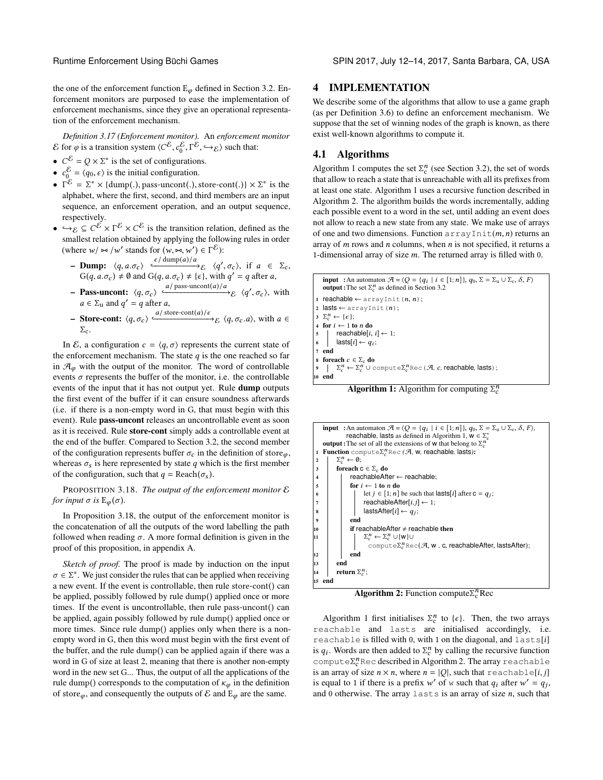the one of the enforcement function  $E_{\varphi}$  defined in Section [3.2.](#page-2-8) Enforcement monitors are purposed to ease the implementation of enforcement mechanisms, since they give an operational representation of the enforcement mechanism.

*Definition 3.17 (Enforcement monitor).* An *enforcement monitor* E for *φ* is a transition system  $\langle C^{\mathcal{E}}, c_0^{\mathcal{E}}, \Gamma^{\mathcal{E}}, \hookrightarrow_{\mathcal{E}} \rangle$  such that:

- $C^{\mathcal{E}} = Q \times \Sigma^*$  is the set of configurations.<br>•  $C^{\mathcal{E}} = (q_0, \epsilon)$  is the initial configuration
- $c_0^{\mathcal{E}} = \langle q_0, \epsilon \rangle$  is the initial configuration.
- $\Gamma^{\mathcal{E}} = \Sigma^* \times \{\text{dump}(.)\}$ , pass-uncont(.), store-cont(.)}  $\times \Sigma^*$  is the alphabet where the first second and third members are an input alphabet, where the first, second, and third members are an input sequence, an enforcement operation, and an output sequence, respectively.
- $\rightarrow \varepsilon \subseteq C^{\mathcal{E}} \times \Gamma^{\mathcal{E}} \times C^{\mathcal{E}}$  is the transition relation, defined as the smallest relation obtained by applying the following rules in order smallest relation obtained by applying the following rules in order (where  $w / \approx /w'$  stands for  $(w, \approx, w') \in \Gamma$ <br> $\epsilon / \text{dump}(a) / a$ ' stands for  $(w, \bowtie, w') \in \Gamma^{\mathcal{E}}$ ):
	- $-$  Dump:  $\langle q, a, \sigma_c \rangle$   $\xrightarrow{\epsilon / \text{dump}(a)/a}$   $\zeta$   $\langle q', \sigma_c \rangle$ , if  $a \in \Sigma_c$ ,<br>  $G(a, a, \sigma) + \emptyset$  and  $G(a, a, \sigma) + \{c\}$  with  $a' = a$  after a  $G(q, a, \sigma_c) \neq \emptyset$  and  $G(q, a, \sigma_c) \neq {\epsilon}$ , with  $q' = q$  after a,
	- Pass-uncont:  $\langle q, \sigma_c \rangle \xrightarrow{a/\text{pass-uncont}(a)/a} \varepsilon \langle q', \sigma_c \rangle$ , with  $a \in \Sigma_{\mathbf{u}}$  and  $q' = q$  after a,
	- $-$  Store-cont:  $\langle q, \sigma_c \rangle \frac{a/\text{store-cont}(a)/\epsilon}{\epsilon}$   $\langle q, \sigma_c . a \rangle$ , with a ∈  $\Sigma_c$ .

In E, a configuration  $c = \langle q, \sigma \rangle$  represents the current state of the enforcement mechanism. The state  $q$  is the one reached so far in  $\mathcal{A}_{\omega}$  with the output of the monitor. The word of controllable events  $\sigma$  represents the buffer of the monitor, i.e. the controllable events of the input that it has not output yet. Rule dump outputs the first event of the buffer if it can ensure soundness afterwards (i.e. if there is a non-empty word in G, that must begin with this event). Rule pass-uncont releases an uncontrollable event as soon as it is received. Rule store-cont simply adds a controllable event at the end of the buffer. Compared to Section [3.2,](#page-2-8) the second member of the configuration represents buffer  $\sigma_c$  in the definition of store $_{\varphi}$ , whereas  $\sigma_s$  is here represented by state q which is the first member of the configuration, such that  $q = \text{Reach}(\sigma_s)$ .

<span id="page-6-0"></span>PROPOSITION 3.18. *The output of the enforcement monitor* E *for input*  $\sigma$  *is*  $E_{\varphi}(\sigma)$ *.* 

In Proposition [3.18,](#page-6-0) the output of the enforcement monitor is the concatenation of all the outputs of the word labelling the path followed when reading  $\sigma$ . A more formal definition is given in the proof of this proposition, in appendix [A.](#page-12-1)

*Sketch of proof.* The proof is made by induction on the input  $\sigma \in \Sigma^*$ . We just consider the rules that can be applied when receiving<br>a new event. If the event is controllable, then rule store-cont() can a new event. If the event is controllable, then rule store-cont() can be applied, possibly followed by rule dump() applied once or more times. If the event is uncontrollable, then rule pass-uncont() can be applied, again possibly followed by rule dump() applied once or more times. Since rule dump() applies only when there is a nonempty word in G, then this word must begin with the first event of the buffer, and the rule dump() can be applied again if there was a word in G of size at least 2, meaning that there is another non-empty word in the new set G... Thus, the output of all the applications of the rule dump() corresponds to the computation of  $\kappa_{\varphi}$  in the definition of store $\varphi$ , and consequently the outputs of  $\mathcal E$  and  $\mathbb E_{\varphi}$  are the same.

# <span id="page-6-3"></span>4 IMPLEMENTATION

We describe some of the algorithms that allow to use a game graph (as per Definition [3.6\)](#page-3-2) to define an enforcement mechanism. We suppose that the set of winning nodes of the graph is known, as there exist well-known algorithms to compute it.

# 4.1 Algorithms

Algorithm [1](#page-6-1) computes the set  $\Sigma_c^n$  (see Section [3.2\)](#page-2-8), the set of words<br>that allow to reach a state that is unreachable with all its prefixes from that allow to reach a state that is unreachable with all its prefixes from at least one state. Algorithm [1](#page-6-1) uses a recursive function described in Algorithm [2.](#page-6-2) The algorithm builds the words incrementally, adding each possible event to a word in the set, until adding an event does not allow to reach a new state from any state. We make use of arrays of one and two dimensions. Function  $\arctan x \ln t(m, n)$  returns an array of  $m$  rows and  $n$  columns, when  $n$  is not specified, it returns a 1-dimensional array of size  $m$ . The returned array is filled with 0.

```
input : An automaton \mathcal{A} = \{Q = \{q_i \mid i \in [1; n]\}, q_0, \Sigma = \Sigma_u \cup \Sigma_c, \delta, F\}<br>output: The set \Sigma^n as defined in Section 3.2
      output : The set \Sigma_c^n 3.2
    reachable \leftarrow arrayInit(n, n);2 lasts ← arrayInit(n);
 3 \Sigma_c^n \leftarrow {\epsilon};<br>4 for i \leftarrow 1 to n do<br>5 reachable[i
         \begin{aligned} n_c &\leftarrow \{\epsilon\};\\ \text{or } i &\leftarrow 11 \end{aligned}5 reachable[i, i] ← 1;<br>6 lasts[i] ← a<sub>i</sub>:
 6 | lasts[i] \leftarrow q_i;
7 end<br>8 foreach c \in \Sigma_c do
 8 foreach c \in \Sigma_c do<br>
9 \Big| \sum_{c}^{n} \leftarrow \Sigma_c^{n} \cup \text{compute} \Sigma_c^{n} \text{Rec} (\mathcal{A}, c, \text{reachable}, \text{lasts});
    end
```
<span id="page-6-5"></span><span id="page-6-1"></span>**Algorithm 1:** Algorithm for computing  $\Sigma_c^n$ 

```
input :An automaton \mathcal{A} = \{Q = \{q_i \mid i \in [1; n]\}, q_0, \Sigma = \Sigma_u \cup \Sigma_c, \delta, F\},<br>reachable lasts as defined in Algorithm 1, w \in \Sigma^* 1, \mathbf{w} \in \Sigma_c^*<br>The set of all the extensions of w that belong to \Sigma_c^noutput : The set of all the extensions of w that belong to \Sigma_c^n<br>Function comput \epsilon \Sigma^n Rec ( A w reachable lasts)
  1 Function compute\Sigma_c^nRec (A, w, reachable, lasts):<br>
\sum_l^n \leftarrow \emptyset2 \sum_{c}^{n} \leftarrow \emptyset;<br>3 foreach!
 \begin{array}{c|c}\n3 & \text{foreach } c \in \Sigma_c \text{ do} \\
4 & \text{reachableAff}\n\end{array}reachableAfter ← reachable;
 \begin{array}{c|c|c|c} 5 & \text{for } i \leftarrow 1 \text{ to } n \text{ do} \\ \hline 6 & & \text{let } i \in [1:n] \end{array}6 let j \in [1; n] be such that lasts[i] after c = qj;<br>reachable After [i i] \leftarrow 1;
 \begin{array}{|c|c|c|c|}\n\hline\n\text{7} & \text{reachableAfter}[i,j] \leftarrow 1; \\
\hline\n\text{8} & \text{lastsAfter}[i] \leftarrow q_i; \\
\hline\n\end{array}\begin{array}{c|c} \mathbf{s} & \mathbf{0} \\ \mathbf{s} & \mathbf{0} \end{array} lastsAfter[i] \leftarrow q_j;
 9 \mid \cdot end
10 if reachableAfter \neq reachable then<br>11 \sum_{i=1}^{n} \sum_{i=1}^{n} u w lu
\frac{11}{2} \frac{1}{2}\sum_{c}^{n} \leftarrow \sum_{c}^{n} \cup \{w\} \cupcompute\Sigma_c^nRec(\mathcal{A}, \mathsf{w} \cdot \mathsf{c}, \mathsf{reachableAfter}, \mathsf{lastsAfter});12 end
\frac{1}{13} end
14 \parallel return \Sigma_c^n;
     end
```
<span id="page-6-8"></span>Algorithm 2: Function compute $\Sigma_c^n$ Rec

<span id="page-6-2"></span>Algorithm [1](#page-6-1) first initialises  $\Sigma_c^n$  to  $\{\epsilon\}$ . Then, the two arrays reachable and lasts are initialised accordingly, i.e. reachable is filled with 0, with 1 on the diagonal, and lasts[i] is  $q_i$ . Words are then added to  $\Sigma_c^n$  by calling the recursive function<br>compute  $\sum_{i=1}^{n} \beta_i$  described in Algorithm 2. The array reason and low compute $\Sigma_c^n$ Rec described in Algorithm [2.](#page-6-2) The array reachable<br>is an array of size  $n \times n$ , where  $n = |O|$ , such that roachable [*i i*] is an array of size  $n \times n$ , where  $n = |Q|$ , such that reachable[i,j] is equal to 1 if there is a prefix w' of w such that  $q_i$  after  $w' = q_j$ ,<br>and 0 otherwise. The array loot c is an array of size n, such that and 0 otherwise. The array lasts is an array of size  $n$ , such that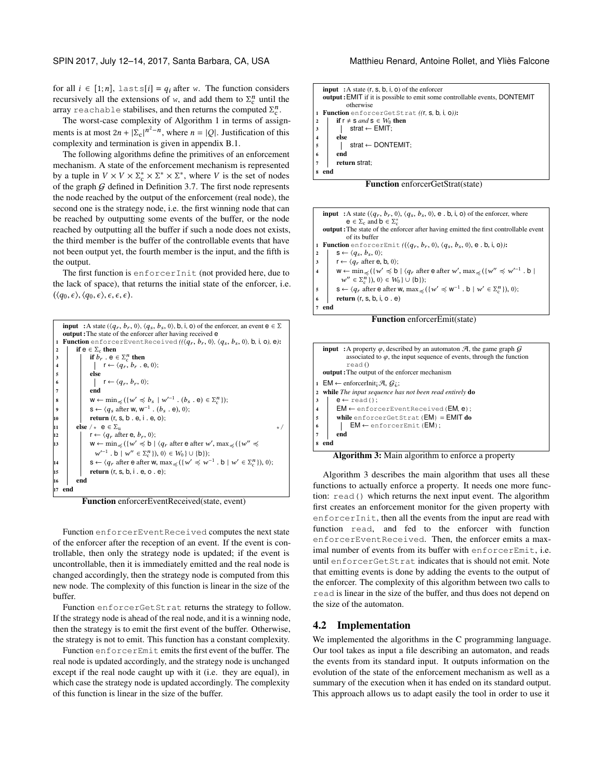for all  $i \in [1;n]$ , lasts[i] = q<sub>i</sub> after w. The function considers recursively all the extensions of w, and add them to  $\Sigma_c^n$  until the array repeated of the stabilises and then returns the computed  $\Sigma^n$ array reachable stabilises, and then returns the computed  $\Sigma_c^n$ .<br>The worst case complexity of Algorithm 1 in terms of assis

The worst-case complexity of Algorithm [1](#page-6-1) in terms of assignments is at most  $2n + |\Sigma_c|^{n^2 - n}$ , where  $n = |Q|$ . Justification of this complexity and termination is given in appendix B.1 complexity and termination is given in appendix [B.1.](#page-12-2)

The following algorithms define the primitives of an enforcement mechanism. A state of the enforcement mechanism is represented by a tuple in  $V \times V \times \Sigma_c^* \times \Sigma^* \times \Sigma^*$ , where V is the set of nodes<br>of the graph G defined in Definition 3.7. The first node represents of the graph  $G$  defined in Definition [3.7.](#page-3-3) The first node represents the node reached by the output of the enforcement (real node), the second one is the strategy node, i.e. the first winning node that can be reached by outputting some events of the buffer, or the node reached by outputting all the buffer if such a node does not exists, the third member is the buffer of the controllable events that have not been output yet, the fourth member is the input, and the fifth is the output.

The first function is enforcerInit (not provided here, due to the lack of space), that returns the initial state of the enforcer, i.e.  $(\langle q_0, \epsilon \rangle, \langle q_0, \epsilon \rangle, \epsilon, \epsilon, \epsilon).$ 



Function enforcerEventReceived(state, event)

Function enforcerEventReceived computes the next state of the enforcer after the reception of an event. If the event is controllable, then only the strategy node is updated; if the event is uncontrollable, then it is immediately emitted and the real node is changed accordingly, then the strategy node is computed from this new node. The complexity of this function is linear in the size of the buffer.

Function enforcerGetStrat returns the strategy to follow. If the strategy node is ahead of the real node, and it is a winning node, then the strategy is to emit the first event of the buffer. Otherwise, the strategy is not to emit. This function has a constant complexity.

Function enforcerEmit emits the first event of the buffer. The real node is updated accordingly, and the strategy node is unchanged except if the real node caught up with it (i.e. they are equal), in which case the strategy node is updated accordingly. The complexity of this function is linear in the size of the buffer.

| <b>input</b> : A state $(r, s, b, i, o)$ of the enforcer                         |  |  |  |  |  |  |
|----------------------------------------------------------------------------------|--|--|--|--|--|--|
| <b>output:</b> EMIT if it is possible to emit some controllable events, DONTEMIT |  |  |  |  |  |  |
| otherwise                                                                        |  |  |  |  |  |  |
| Function enforcerGetStrat ((r, s, b, i, o)):                                     |  |  |  |  |  |  |
| if $r \neq s$ and $s \in W_0$ then<br>$\overline{\mathbf{2}}$                    |  |  |  |  |  |  |
| strat $\leftarrow$ EMIT:<br>3                                                    |  |  |  |  |  |  |
| else<br>$\overline{\mathbf{4}}$                                                  |  |  |  |  |  |  |
| $strat \leftarrow$ DONTEMIT:<br>5                                                |  |  |  |  |  |  |
| end<br>6                                                                         |  |  |  |  |  |  |
| return strat:<br>7                                                               |  |  |  |  |  |  |
| end<br>8                                                                         |  |  |  |  |  |  |
| <b>Function</b> enforcerGetStrat(state)                                          |  |  |  |  |  |  |





<span id="page-7-0"></span>Algorithm 3: Main algorithm to enforce a property

Algorithm [3](#page-7-0) describes the main algorithm that uses all these functions to actually enforce a property. It needs one more function: read() which returns the next input event. The algorithm first creates an enforcement monitor for the given property with enforcerInit, then all the events from the input are read with function read, and fed to the enforcer with function enforcerEventReceived. Then, the enforcer emits a maximal number of events from its buffer with enforcerEmit, i.e. until enforcerGetStrat indicates that is should not emit. Note that emitting events is done by adding the events to the output of the enforcer. The complexity of this algorithm between two calls to read is linear in the size of the buffer, and thus does not depend on the size of the automaton.

#### 4.2 Implementation

We implemented the algorithms in the C programming language. Our tool takes as input a file describing an automaton, and reads the events from its standard input. It outputs information on the evolution of the state of the enforcement mechanism as well as a summary of the execution when it has ended on its standard output. This approach allows us to adapt easily the tool in order to use it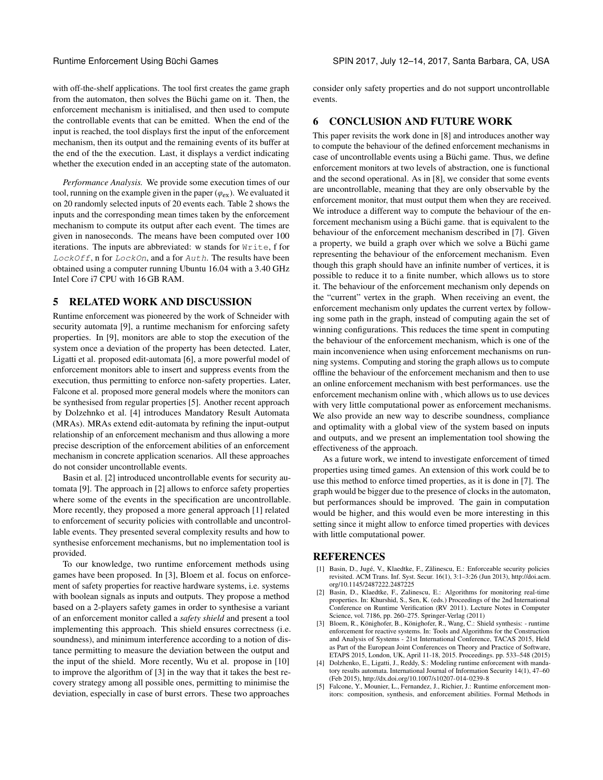with off-the-shelf applications. The tool first creates the game graph from the automaton, then solves the Büchi game on it. Then, the enforcement mechanism is initialised, and then used to compute the controllable events that can be emitted. When the end of the input is reached, the tool displays first the input of the enforcement mechanism, then its output and the remaining events of its buffer at the end of the the execution. Last, it displays a verdict indicating whether the execution ended in an accepting state of the automaton.

*Performance Analysis.* We provide some execution times of our tool, running on the example given in the paper ( $\varphi_{\text{ex}}$ ). We evaluated it on 20 randomly selected inputs of 20 events each. Table [2](#page-9-4) shows the inputs and the corresponding mean times taken by the enforcement mechanism to compute its output after each event. The times are given in nanoseconds. The means have been computed over 100 iterations. The inputs are abbreviated: w stands for Write, f for LockOff, n for LockOn, and a for Auth. The results have been obtained using a computer running Ubuntu 16.04 with a 3.40 GHz Intel Core i7 CPU with 16 GB RAM.

# 5 RELATED WORK AND DISCUSSION

Runtime enforcement was pioneered by the work of Schneider with security automata [\[9\]](#page-9-1), a runtime mechanism for enforcing safety properties. In [\[9\]](#page-9-1), monitors are able to stop the execution of the system once a deviation of the property has been detected. Later, Ligatti et al. proposed edit-automata [\[6\]](#page-9-0), a more powerful model of enforcement monitors able to insert and suppress events from the execution, thus permitting to enforce non-safety properties. Later, Falcone et al. proposed more general models where the monitors can be synthesised from regular properties [\[5\]](#page-8-1). Another recent approach by Dolzehnko et al. [\[4\]](#page-8-2) introduces Mandatory Result Automata (MRAs). MRAs extend edit-automata by refining the input-output relationship of an enforcement mechanism and thus allowing a more precise description of the enforcement abilities of an enforcement mechanism in concrete application scenarios. All these approaches do not consider uncontrollable events.

Basin et al. [\[2\]](#page-8-3) introduced uncontrollable events for security automata [\[9\]](#page-9-1). The approach in [\[2\]](#page-8-3) allows to enforce safety properties where some of the events in the specification are uncontrollable. More recently, they proposed a more general approach [\[1\]](#page-8-0) related to enforcement of security policies with controllable and uncontrollable events. They presented several complexity results and how to synthesise enforcement mechanisms, but no implementation tool is provided.

To our knowledge, two runtime enforcement methods using games have been proposed. In [\[3\]](#page-8-4), Bloem et al. focus on enforcement of safety properties for reactive hardware systems, i.e. systems with boolean signals as inputs and outputs. They propose a method based on a 2-players safety games in order to synthesise a variant of an enforcement monitor called a *safety shield* and present a tool implementing this approach. This shield ensures correctness (i.e. soundness), and minimum interference according to a notion of distance permitting to measure the deviation between the output and the input of the shield. More recently, Wu et al. propose in [\[10\]](#page-9-5) to improve the algorithm of [\[3\]](#page-8-4) in the way that it takes the best recovery strategy among all possible ones, permitting to minimise the deviation, especially in case of burst errors. These two approaches

consider only safety properties and do not support uncontrollable events.

# 6 CONCLUSION AND FUTURE WORK

This paper revisits the work done in [\[8\]](#page-9-2) and introduces another way to compute the behaviour of the defined enforcement mechanisms in case of uncontrollable events using a Büchi game. Thus, we define enforcement monitors at two levels of abstraction, one is functional and the second operational. As in [\[8\]](#page-9-2), we consider that some events are uncontrollable, meaning that they are only observable by the enforcement monitor, that must output them when they are received. We introduce a different way to compute the behaviour of the enforcement mechanism using a Büchi game. that is equivalent to the behaviour of the enforcement mechanism described in [\[7\]](#page-9-3). Given a property, we build a graph over which we solve a Büchi game representing the behaviour of the enforcement mechanism. Even though this graph should have an infinite number of vertices, it is possible to reduce it to a finite number, which allows us to store it. The behaviour of the enforcement mechanism only depends on the "current" vertex in the graph. When receiving an event, the enforcement mechanism only updates the current vertex by following some path in the graph, instead of computing again the set of winning configurations. This reduces the time spent in computing the behaviour of the enforcement mechanism, which is one of the main inconvenience when using enforcement mechanisms on running systems. Computing and storing the graph allows us to compute offline the behaviour of the enforcement mechanism and then to use an online enforcement mechanism with best performances. use the enforcement mechanism online with , which allows us to use devices with very little computational power as enforcement mechanisms. We also provide an new way to describe soundness, compliance and optimality with a global view of the system based on inputs and outputs, and we present an implementation tool showing the effectiveness of the approach.

As a future work, we intend to investigate enforcement of timed properties using timed games. An extension of this work could be to use this method to enforce timed properties, as it is done in [\[7\]](#page-9-3). The graph would be bigger due to the presence of clocks in the automaton, but performances should be improved. The gain in computation would be higher, and this would even be more interesting in this setting since it might allow to enforce timed properties with devices with little computational power.

#### REFERENCES

- <span id="page-8-0"></span>[1] Basin, D., Jugé, V., Klaedtke, F., Zălinescu, E.: Enforceable security policies revisited. ACM Trans. Inf. Syst. Secur. 16(1), 3:1–3:26 (Jun 2013), [http://doi.acm.](http://doi.acm.org/10.1145/2487222.2487225) [org/10.1145/2487222.2487225](http://doi.acm.org/10.1145/2487222.2487225)
- <span id="page-8-3"></span>Basin, D., Klaedtke, F., Zalinescu, E.: Algorithms for monitoring real-time properties. In: Khurshid, S., Sen, K. (eds.) Proceedings of the 2nd International Conference on Runtime Verification (RV 2011). Lecture Notes in Computer Science, vol. 7186, pp. 260–275. Springer-Verlag (2011)
- <span id="page-8-4"></span>[3] Bloem, R., Könighofer, B., Könighofer, R., Wang, C.: Shield synthesis: - runtime enforcement for reactive systems. In: Tools and Algorithms for the Construction and Analysis of Systems - 21st International Conference, TACAS 2015, Held as Part of the European Joint Conferences on Theory and Practice of Software, ETAPS 2015, London, UK, April 11-18, 2015. Proceedings. pp. 533–548 (2015)
- <span id="page-8-2"></span>[4] Dolzhenko, E., Ligatti, J., Reddy, S.: Modeling runtime enforcement with mandatory results automata. International Journal of Information Security 14(1), 47–60 (Feb 2015),<http://dx.doi.org/10.1007/s10207-014-0239-8>
- <span id="page-8-1"></span>Falcone, Y., Mounier, L., Fernandez, J., Richier, J.: Runtime enforcement monitors: composition, synthesis, and enforcement abilities. Formal Methods in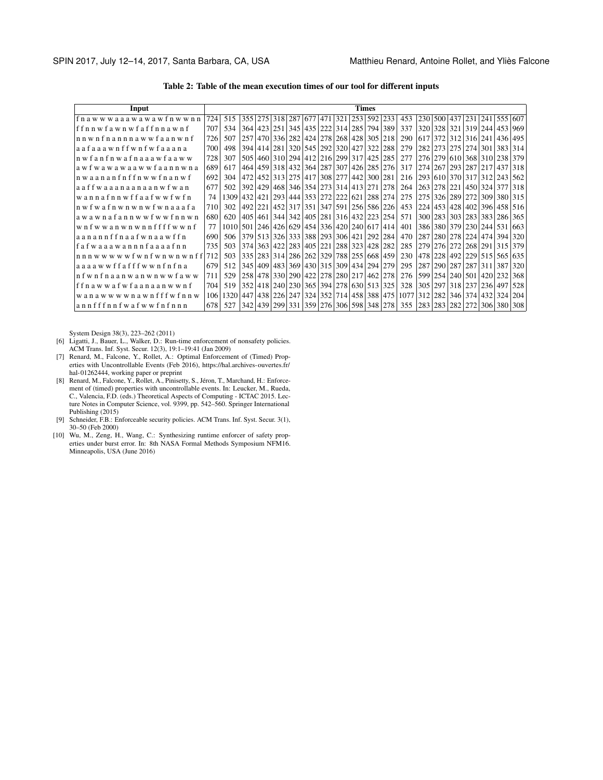Table 2: Table of the mean execution times of our tool for different inputs

<span id="page-9-4"></span>

| Input                                   | <b>Times</b> |      |      |         |         |                 |             |             |                         |         |             |     |      |       |         |                         |     |             |                       |                     |
|-----------------------------------------|--------------|------|------|---------|---------|-----------------|-------------|-------------|-------------------------|---------|-------------|-----|------|-------|---------|-------------------------|-----|-------------|-----------------------|---------------------|
| fnawwwaaawawawfnwwnn                    | 724          | 515  |      |         |         | 355 275 318 287 |             |             | 677 471 321 253         |         | 592         | 233 | 453  | 230   |         | 500 437 231 241 555 607 |     |             |                       |                     |
| ffnnwfawnwfaffnnawnf                    | 707          | 534  |      | 364 423 | 2511    | 345             |             |             | 435   222   314   285   |         | 794         | 389 | 337  | 3201  | 328     | 321                     |     |             | 319 244 453 969       |                     |
| nnwnfnannnawwfaanwnf                    | 726          | 507  | 257  | 470     |         | 336 282         |             | 424 278     |                         | 268 428 | 305         | 218 | 290  | 617   | 372     |                         |     | 312 316 241 | 436 495               |                     |
| aafaaawnffwnfwfaaana                    | 700          | 498  | 394  | 414     | 281     | 320             |             |             | 545 292 320 427         |         | 322         | 288 | 279  | 2821  | 273     |                         |     |             | 275 274 301 383 314   |                     |
| n w f a n f n w a f n a a a w f a a w w | 728          | 307  | 505  | 460     |         | 310 294         |             |             | 412 216 299 317         |         | 425         | 285 | 277  | 2761  | 279     |                         |     |             | 610 368 310 238 379   |                     |
| awfwawawaawwfaannwna                    | 689          | 617  |      | 464 459 |         | 318 432         | 364 287 307 |             |                         |         | 426 285     | 276 | 317  | 274   | 267     |                         |     | 293 287 217 | 437 318               |                     |
| n waanan f n f f n w w f n a n w f      | 692          | 304  | 472  | 452     | 313     | 275             | 417         | 308 277     |                         | 442     | 300         | 281 | 216  |       | 293 610 | 370 317                 |     | 312         | 243 562               |                     |
| a a f f w a a a n a a n a a n w f w a n | 677          | 502  | 392  | 429     | 468     | 346             |             |             | 354 273 314 413         |         | 271         | 278 | 264  | 263   | 278     | 221                     |     |             | 450 324 377 318       |                     |
| wannafnnwffaafwwfwfn                    | 74           | 1309 | 432  | 421     | 293     | 444             |             | 353 272 222 |                         | 621     | 288         | 274 | 275  | 275   | 326     | 289 272                 |     |             | 309 380 315           |                     |
| n w f w a f n w n w n w f w n a a a f a | 710          | 302  | 492  | 221     | 4521    | 317             | 351         |             | 347 591 256             |         | 586         | 226 | 453  | 2241  | 453     |                         |     |             |                       | 428 402 396 458 516 |
| awawnafannwwfwwfnnwn                    | 680          | 620  | 405  | 461     | 344     | 342             |             |             | 405 281 316 432         |         | 223         | 254 | 571  | 300 l | 283     | 303                     |     | 283 383     | 286                   | 365                 |
| wnfwwanwnwnnffffwwnf                    | 77           | 1010 | 501  | 1246    | 426     | 629             |             |             | 454 336 420 240 617     |         |             | 414 | 401  | 3861  |         | 380 379 230 244 531     |     |             |                       | 663                 |
| aanannffnaafwnaawffn                    | 690          | 506  |      | 379 513 |         | 326 333         |             |             | 388 293 306 421         |         | 292         | 284 | 470  | 287   | 280     |                         |     | 278 224 474 | 394                   | 320                 |
| fafwaaawannnfaaaafnn                    | 735          | 503  | 374  | 363     |         | 422 283         | 405 221     |             | 288 323 428             |         |             | 282 | 285  | 2791  | 276     | 272                     |     |             | 268   291   315       | 379                 |
| nnnwwwwwfwnfwnwnwnff                    | 712          | 503  | 3351 | 283     | 314     | 286             | 262 329     |             |                         |         | 788 255 668 | 459 | 230  | 4781  | 228     | 492                     |     |             | 229   515   565   635 |                     |
| aaaawwffafffwwnfnfna                    | 679          | 512  | 345  | 409     | 483     | 369             |             | 430 315 309 |                         | 434     | 294         | 279 | 295  | 287   | 290     | 287                     | 287 |             | 311 387               | 320                 |
| n f w n f n a a n w a n w n w w f a w w | 711          | 529  | 258  | 478     |         | 330 290         |             |             | 422 278 280 217         |         | 462         | 278 | 276  | 5991  | 254     | 240 501                 |     | 420         | 232                   | 368                 |
| ffnawwafwfaanaanwwnf                    | 704          | 519  |      |         |         | 352 418 240 230 |             |             | 365 394 278 630 513     |         |             | 325 | 328  | 305   | 297     | 318 237                 |     | 236         | 497                   | 528                 |
| wanawwwwnawnfffwfnnw                    | 106          | 1320 | 447  | 438     | 2261    | 247             |             |             | 324 352 714 458 388     |         |             | 475 | 1077 | 312   | 282     | 346                     |     | 374   432   | 3241                  | 204                 |
| annfffnnfwafwwfnfnnn                    | 678          | 527  |      | 342 439 | 299 331 |                 |             |             | 359 276 306 598 348 278 |         |             |     | 355  | 2831  | 283     | 282                     | 272 |             | 306 380 308           |                     |

- <span id="page-9-0"></span>System Design 38(3), 223–262 (2011) [6] Ligatti, J., Bauer, L., Walker, D.: Run-time enforcement of nonsafety policies.
- <span id="page-9-3"></span>ACM Trans. Inf. Syst. Secur. 12(3), 19:1–19:41 (Jan 2009) [7] Renard, M., Falcone, Y., Rollet, A.: Optimal Enforcement of (Timed) Properties with Uncontrollable Events (Feb 2016), [https://hal.archives-ouvertes.fr/](https://hal.archives-ouvertes.fr/hal-01262444)
- <span id="page-9-2"></span>[hal-01262444,](https://hal.archives-ouvertes.fr/hal-01262444) working paper or preprint<br>
[8] Renard, M., Falcone, Y., Rollet, A., Pinisetty, S., Jéron, T., Marchand, H.: Enforcement of (timed) properties with uncontrollable events. In: Leucker, M., Rueda, C., Valencia, F.D. (eds.) Theoretical Aspects of Computing - ICTAC 2015. Lec-ture Notes in Computer Science, vol. 9399, pp. 542–560. Springer International
- <span id="page-9-1"></span>Publishing (2015) [9] Schneider, F.B.: Enforceable security policies. ACM Trans. Inf. Syst. Secur. 3(1), 30–50 (Feb 2000)
- <span id="page-9-5"></span>[10] Wu, M., Zeng, H., Wang, C.: Synthesizing runtime enforcer of safety prop-erties under burst error. In: 8th NASA Formal Methods Symposium NFM16. Minneapolis, USA (June 2016)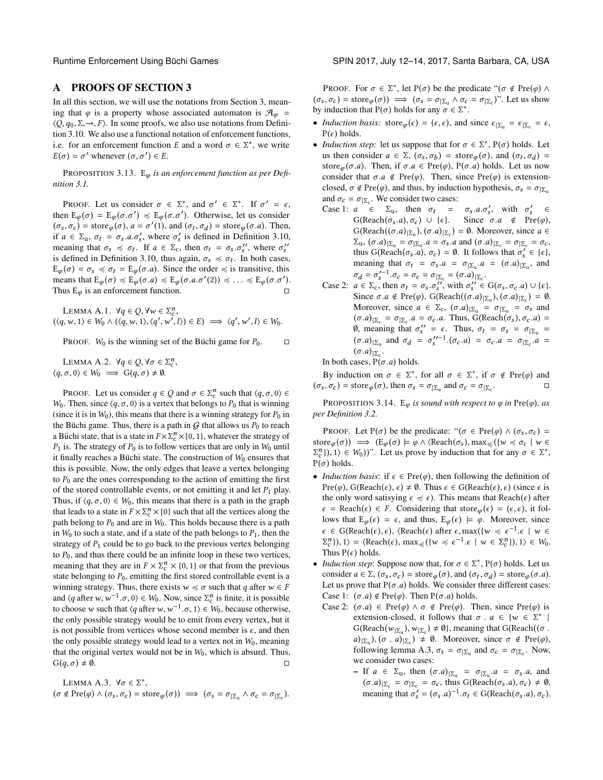### A PROOFS OF SECTION [3](#page-1-1)

In all this section, we will use the notations from Section [3,](#page-1-1) meaning that  $\varphi$  is a property whose associated automaton is  $\mathcal{A}_{\varphi}$  =  $\langle Q, q_0, \Sigma, \rightarrow, F \rangle$ . In some proofs, we also use notations from Definition [3.10.](#page-3-1) We also use a functional notation of enforcement functions, i.e. for an enforcement function E and a word  $\sigma \in \Sigma^*$ , we write  $F(\sigma) = \sigma'$  whenever  $(\sigma, \sigma') \in F$  $E(\sigma) = \sigma'$  whenever  $(\sigma, \sigma') \in E$ .

PROPOSITION 3.13. E<sub>φ</sub> is an enforcement function as per Defi*nition [3.1.](#page-2-5)*

PROOF. Let us consider  $\sigma \in \Sigma^*$ , and  $\sigma' \in \Sigma^*$ . If  $\sigma' = \epsilon$ ,<br>on E  $(\sigma, \sigma') \neq F$  ( $\sigma, \sigma'$ ). Otherwise, let us consider then  $E_{\varphi}(\sigma) = E_{\varphi}(\sigma, \sigma') \preccurlyeq E_{\varphi}(\sigma, \sigma')$ . Otherwise, let us consider  $(\sigma, \sigma)$  = store  $(\sigma, \sigma)$ . Then  $(\sigma_s, \sigma_c)$  = store $\varphi(\sigma)$ ,  $a = \sigma'(1)$ , and  $(\sigma_t, \sigma_d)$  = store $\varphi(\sigma.a)$ . Then, if  $a \in \Sigma_{u}$ ,  $\sigma_t = \sigma_s.a.s'_s$ , where  $\sigma'_s$  is defined in Definition [3.10,](#page-3-1)<br>meaning that  $\sigma_s \neq \sigma_s$ . If  $a \in \Sigma$ , then  $\sigma_t = \sigma_s \sigma''$ , where  $\sigma''$ . meaning that  $\sigma_s \preccurlyeq \sigma_t$ . If  $a \in \Sigma_c$ , then  $\sigma_t = \sigma_s \cdot \sigma_s''$ , where  $\sigma_s''$ <br>is defined in Definition 3.10, thus again  $\sigma_t \preccurlyeq \sigma_s$ . In both cases is defined in Definition [3.10,](#page-3-1) thus again,  $\sigma_s \preccurlyeq \sigma_t$ . In both cases,<br> $F_{\epsilon}(\sigma) = \sigma_{\epsilon} \preccurlyeq \sigma_{\epsilon} = F_{\epsilon}(\sigma_{\epsilon})$ . Since the order  $\preccurlyeq$  is transitive this  $E_{\varphi}(\sigma) = \sigma_s \preccurlyeq \sigma_t = E_{\varphi}(\sigma.a)$ . Since the order  $\preccurlyeq$  is transitive, this means that  $E_{\varphi}(\sigma) \preccurlyeq E_{\varphi}(\sigma.a) \preccurlyeq E_{\varphi}(\sigma.a.\sigma'(2)) \preccurlyeq \ldots \preccurlyeq E_{\varphi}(\sigma.\sigma')$ .<br>Thus E is an enforcement function Thus  $E_{\varphi}$  is an enforcement function.

<span id="page-10-1"></span>LEMMA A.1.  $\forall q \in Q, \forall w \in \Sigma_{c}^{n}$ <br> $(w, 1) \in W_0 \land ((q, w, 1) \in a' \in w')$  $(\langle q, w, 1 \rangle \in W_0 \land (\langle q, w, 1 \rangle, \langle q', w', l \rangle) \in E) \implies \langle q', w', l \rangle \in W_0.$ 

PROOF.  $W_0$  is the winning set of the Büchi game for  $P_0$ .  $\Box$ 

<span id="page-10-2"></span>LEMMA A.2.  $\forall q \in Q, \forall \sigma \in \Sigma_{c}^{n}$ ,<br> $\sigma \cap \in W_{c} \longrightarrow G(a, \sigma) \neq \emptyset$  $\langle q, \sigma, 0 \rangle \in W_0 \implies G(q, \sigma) \neq \emptyset.$ 

PROOF. Let us consider  $q \in Q$  and  $\sigma \in \Sigma_c^n$  such that  $\langle q, \sigma, 0 \rangle \in \mathbb{R}$  has since  $\langle q, \sigma, 0 \rangle$  is a vertex that belongs to  $P_0$  that is winning W<sub>0</sub>. Then, since  $\langle q, \sigma, 0 \rangle$  is a vertex that belongs to P<sub>0</sub> that is winning (since it is in  $W_0$ ), this means that there is a winning strategy for  $P_0$  in the Büchi game. Thus, there is a path in  $G$  that allows us  $P_0$  to reach a Büchi state, that is a state in  $F \times \Sigma_c^n \times \{0, 1\}$ , whatever the strategy of  $P_1$  is The strategy of  $P_2$  is to follow vertices that are only in  $W_2$  until  $P_1$  is. The strategy of  $P_0$  is to follow vertices that are only in  $W_0$  until it finally reaches a Büchi state. The construction of  $W_0$  ensures that this is possible. Now, the only edges that leave a vertex belonging to  $P_0$  are the ones corresponding to the action of emitting the first of the stored controllable events, or not emitting it and let  $P_1$  play. Thus, if  $\langle q, \sigma, 0 \rangle \in W_0$ , this means that there is a path in the graph that leads to a state in  $F \times \Sigma_c^n \times \{0\}$  such that all the vertices along the path belong to  $P_2$  and are in  $W_2$ . This holds because there is a path path belong to  $P_0$  and are in  $W_0$ . This holds because there is a path in  $W_0$  to such a state, and if a state of the path belongs to  $P_1$ , then the strategy of  $P_1$  could be to go back to the previous vertex belonging to  $P_0$ , and thus there could be an infinite loop in these two vertices, meaning that they are in  $F \times \Sigma_c^n \times \{0, 1\}$  or that from the previous state belonging to  $P_0$  emitting the first stored controllable event is a state belonging to  $P_0$ , emitting the first stored controllable event is a winning strategy. Thus, there exists  $w \preccurlyeq \sigma$  such that q after  $w \in F$ and  $\langle q \text{ after } w, w^{-1} \cdot \sigma, 0 \rangle \in W_0$ . Now, since  $\Sigma_c^n$  is finite, it is possible to choose w such that  $\langle q \text{ after } w, w^{-1} \rangle \subset \Lambda \setminus \subset W_0$  because otherwise to choose w such that  $\langle q \text{ after } w, w^{-1} \cdot \sigma, 1 \rangle \in W_0$ , because otherwise, the only possible strategy would be to emit from every vertex but it the only possible strategy would be to emit from every vertex, but it is not possible from vertices whose second member is  $\epsilon$ , and then the only possible strategy would lead to a vertex not in  $W_0$ , meaning that the original vertex would not be in  $W_0$ , which is absurd. Thus,  $G(q, \sigma) \neq \emptyset.$ 

<span id="page-10-0"></span>LEMMA A.3.  $\forall \sigma \in \Sigma^*$ <br>  $\leq \text{Pre}(\sigma) \land (\sigma, \sigma) = s$  $(\sigma \notin \text{Pre}(\varphi) \land (\sigma_s, \sigma_c) = \text{store}_{\varphi}(\sigma)) \implies (\sigma_s = \sigma_{|\Sigma_u} \land \sigma_c = \sigma_{|\Sigma_c}).$ 

PROOF. For  $\sigma \in \Sigma^*$ , let P( $\sigma$ ) be the predicate "( $\sigma \notin \text{Pre}(\varphi) \wedge$  $(\sigma_s, \sigma_c)$  = store $\varphi(\sigma)$   $\implies$   $(\sigma_s = \sigma_{|\Sigma_u} \land \sigma_c = \sigma_{|\Sigma_c})$ ". Let us show by induction that  $P(\sigma)$  holds for any  $\sigma \in \Sigma^*$ .

- *Induction basis:* store $\varphi(\epsilon) = (\epsilon, \epsilon)$ , and since  $\epsilon_{\vert \Sigma_{\text{u}} \vert} = \epsilon_{\vert \Sigma_{\text{c}} \vert} = \epsilon$ ,  $P(\epsilon)$  holds  $P(\epsilon)$  holds.
- *Induction step:* let us suppose that for  $\sigma \in \Sigma^*$ ,  $P(\sigma)$  holds. Let us then consider  $a \in \Sigma$  ( $\sigma, \sigma$ ) = store ( $\sigma$ ) and ( $\sigma, \sigma$ )) = us then consider  $a \in \Sigma$ ,  $(\sigma_s, \sigma_b) = \text{store}_{\varphi}(\sigma)$ , and  $(\sigma_t, \sigma_d) =$ <br>store  $(\sigma, a)$ . Then if  $\sigma, a \in \text{Pre}(\sigma)$ ,  $P(\sigma, a)$  holds. Let us now store<sub>φ</sub>( $\sigma$ .a). Then, if  $\sigma$ .a  $\in$  Pre( $\varphi$ ), P( $\sigma$ .a) holds. Let us now consider that  $\sigma.a \notin Pre(\varphi)$ . Then, since  $Pre(\varphi)$  is extensionclosed,  $\sigma \notin \text{Pre}(\varphi)$ , and thus, by induction hypothesis,  $\sigma_s = \sigma_{|\Sigma_u}$ and  $\sigma_c = \sigma_{|\Sigma_c}$ . We consider two cases:<br>Case 1:  $a \in \Sigma$  then  $\sigma_c =$ 
	- Case 1:  $a \in \Sigma_u$ , then  $\sigma_t = \sigma_s.a.\sigma'_s$ , with  $\sigma'_s \in G(\text{Reach}(\sigma, a), \sigma) \cup \{\epsilon\}$ . Since  $\sigma, a \notin \text{Pre}(a)$ .  $G(\text{Reach}(\sigma_s.a), \sigma_c) \cup \{\epsilon\}.$  Since  $\sigma.a \notin \text{Pre}(\varphi),$ <br> $G(\text{Reach}(\sigma,a)) = \emptyset$  Moreover since  $a \in \mathbb{R}$ G(Reach(( $\sigma$ .a)<sub>|Σu</sub>), ( $\sigma$ .a)<sub>|Σc</sub>) = Ø. Moreover, since  $a \in \sum_{\alpha}$  ( $\sigma$  a)<sub>|Σ</sub> =  $\sigma$ <sub>|Σ</sub> =  $\sigma$ <sub>|Σ</sub> =  $\sigma$  $\Sigma_{u}$ ,  $(\sigma.a)|_{\Sigma_{u}} = \sigma_{|\Sigma_{u}}.a = \sigma_{s}.a$  and  $(\sigma.a)|_{\Sigma_{c}} = \sigma_{|\Sigma_{c}} = \sigma_{c}$ ,<br>thus  $G(\text{Reach}(\sigma,a), \sigma) = \emptyset$ . It follows that  $\sigma' \in \{\varepsilon\}$ thus G(Reach( $\sigma_s$ ,  $\vec{a}$ ),  $\sigma_c$ ) = 0. It follows that  $\sigma_s' \in \{\epsilon\}$ ,<br>meaning that  $\sigma_t = \sigma_s$ ,  $\vec{a} = \sigma_s$ ,  $\vec{a} = (\sigma, \vec{a})$ , and meaning that  $\sigma_t = \sigma_s.a = \sigma_{\vert \Sigma_u}.a = (\sigma.a)_{\vert \Sigma_u}$ , and  $\sigma_d = \sigma_s'^{-1}$ <br> $a \in \Sigma$ , th  $s'_{s}^{-1} \cdot \sigma_c = \sigma_c = \sigma_{|\Sigma_c} = (\sigma.a)_{|\Sigma_c}$ .<br>then  $\sigma_t = \sigma_s \sigma''$  with  $\sigma'' \in$
	- Case 2:  $a \in \Sigma_c$ , then  $\sigma_t = \sigma_s \cdot \sigma_s''$ , with  $\sigma_s'' \in G(\sigma_s, \sigma_c, a) \cup \{\epsilon\}$ .<br>Since  $\sigma_a a \notin \text{Pre}(a)$ ,  $G(\text{Reach}((\sigma_a)_{\text{US}}), (\sigma_a)_{\text{US}}) = \emptyset$ Since  $\sigma.a \notin \text{Pre}(\varphi), \text{ G}(\text{Reach}((\sigma.a)|_{\Sigma_u}), (\sigma.a)|_{\Sigma_c}) = \emptyset.$ <br>Moreover since  $a \in \Sigma$  ( $\sigma.a$ )<sub>12</sub> =  $\sigma.g. = \sigma.a$  and Moreover, since  $a \in \Sigma_c$ ,  $(\sigma.a)|_{\Sigma_u} = \sigma_{|\Sigma_u} = \sigma_s$  and  $(\sigma.a)|_{\Sigma_u} = \sigma_{\Sigma_u} = \sigma_s$  Thus  $G(\text{Reach}(\sigma) \subset \sigma_a) =$  $(\sigma.a)|_{\Sigma_c} = \sigma_{|\Sigma_c} \cdot a = \sigma_c \cdot a$ . Thus,  $G(\text{Reach}(\sigma_s), \sigma_c \cdot a) =$ <br>(0) meaning that  $\sigma'' = \sigma$ . Thus  $\sigma_c = \sigma = \sigma_{\text{max}} = \sigma$ 0, meaning that  $\sigma''_s = \epsilon$ . Thus,  $\sigma_t = \sigma_s = \sigma_{|\Sigma_u} =$ <br>(π a) = and  $\sigma_t = \sigma''^{-1}$  (π a) = π a = π a = π  $(\sigma.a)|_{\Sigma_u}$  and  $\sigma_d = \sigma''^{-1} \cdot (\sigma_c.a) = \sigma_c.a = \sigma_{|\Sigma_c}.a =$  $(\sigma.a)_{|\Sigma_c}$ .

In both cases,  $P(\sigma.a)$  holds.

By induction on  $\sigma \in \Sigma^*$ , for all  $\sigma \in \Sigma^*$ , if  $\sigma \notin \text{Pre}(\varphi)$  and  $\sigma$ ) = store  $(\sigma)$  then  $\sigma = \sigma_{\text{lin}}$  and  $\sigma = \sigma_{\text{lin}}$  $(\sigma_s, \sigma_c) = \text{store}_{\varphi}(\sigma)$ , then  $\sigma_s = \sigma_{|\Sigma_u}$  and  $\sigma_c = \sigma_{|\Sigma_c}$ .

PROPOSITION 3.14. E<sub>φ</sub> is sound with respect to  $\varphi$  in Pre( $\varphi$ ), as *per Definition [3.2.](#page-2-2)*

PROOF. Let P( $\sigma$ ) be the predicate: "( $\sigma \in Pre(\varphi) \wedge (\sigma_s, \sigma_c)$  = store<sub>φ</sub> $(\sigma)$ )  $\implies$   $(E_{\varphi}(\sigma) \models \varphi \land \langle$ Reach $(\sigma_s)$ , max<sub> $\preccurlyeq$ </sub>  $(W \preccurlyeq \sigma_c \mid W \in$  $P(\sigma)$  holds.  $\binom{n}{c}$ ,  $n \geq 0$ ,  $\binom{n}{c}$  ),  $1 \geq 0$  is prove by induction that for any  $\sigma \in \Sigma^*$ ,

- *Induction basis*: if  $\epsilon \in Pre(\varphi)$ , then following the definition of Pre( $\varphi$ ), G(Reach( $\epsilon$ ),  $\epsilon$ )  $\neq$  0. Thus  $\epsilon \in G(\text{Reach}(\epsilon), \epsilon)$  (since  $\epsilon$  is the only word satisying  $\epsilon \preccurlyeq \epsilon$ ). This means that Reach( $\epsilon$ ) after  $\epsilon$  = Reach( $\epsilon$ )  $\in$  F. Considering that store $\varphi(\epsilon) = (\epsilon, \epsilon)$ , it follows that  $E_{\varphi}(\epsilon) = \epsilon$ , and thus,  $E_{\varphi}(\epsilon) \models \varphi$ . Moreover, since  $\epsilon \in G(\text{Reach}(\epsilon), \epsilon)$ ,  $\langle \text{Reach}(\epsilon) \text{ after } \epsilon, \max({w \preceq \epsilon^{-1}, \epsilon \mid w \in \mathbb{R}^n}) \rangle$ Thus  $P(\epsilon)$  holds.<br>Induction step: S  ${n \choose c}$ , 1) = {Reach( $\epsilon$ ), max<sub> $\preccurlyeq$ </sub>({ $w \preccurlyeq \epsilon^{-1}$ . $\epsilon \mid w \in \Sigma_c^n$ }), 1)  $\in W_0$ .
- *Induction step*: Suppose now that, for  $\sigma \in \Sigma^*$ ,  $P(\sigma)$  holds. Let us consider  $a \in \Sigma$  ( $\sigma, \sigma$ ) = store ( $\sigma$ ) and ( $\sigma, \sigma$ )) = store ( $\sigma, a$ ) consider  $a \in \Sigma$ ,  $(\sigma_s, \sigma_c) = \text{store}_{\varphi}(\sigma)$ , and  $(\sigma_t, \sigma_d) = \text{store}_{\varphi}(\sigma.a)$ .<br>Let us prove that  $P(\sigma, a)$  holds. We consider three different cases: Let us prove that  $P(\sigma.a)$  holds. We consider three different cases: Case 1:  $(\sigma.a) \notin \text{Pre}(\varphi)$ . Then  $P(\sigma.a)$  holds.
	- Case 2:  $(\sigma.a) \in \text{Pre}(\varphi) \land \sigma \notin \text{Pre}(\varphi)$ . Then, since  $\text{Pre}(\varphi)$  is extension-closed, it follows that  $\sigma$ .  $a \in \{w \in \Sigma^*\}$ <br> $C(\text{Reach}(w_{\text{max}}) \neq \emptyset)$  meaning that  $C(\text{Reach}(w_{\text{max}}))$ | G(Reach( $w_{\vert \Sigma_u}$ ),  $w_{\vert \Sigma_c}$ )  $\neq \emptyset$ ), meaning that G(Reach(( $\sigma$ .<br>a) a) $|Z_u|$ ,  $(\sigma \cdot a)|Z_c| \neq \emptyset$ . Moreover, since  $\sigma \notin \text{Pre}(\varphi)$ ,<br>following lemma A 3,  $\sigma = \sigma_{\text{lin}}$ , and  $\sigma = \sigma_{\text{lin}}$ . Now following lemma [A.3,](#page-10-0)  $\sigma_s = \sigma_{\vert \Sigma_u}$  and  $\sigma_c = \sigma_{\vert \Sigma_c}$ . Now, we consider two cases:
		- If  $a \in \Sigma_{\text{u}}$ , then  $(\sigma.a)|_{\Sigma_{\text{u}}} = \sigma_{|\Sigma_{\text{u}}}.a = \sigma_s.a$ , and  $(\sigma.a)|_{\Sigma_{\text{u}}} = \sigma_{\text{u}} \sigma_{\text{u}}$  thus  $G(\text{Back}(g, a), \sigma) \neq \emptyset$  $(\sigma.a)|_{\Sigma_c} = \sigma_{|\Sigma_c} = \sigma_c$ , thus  $G(\text{Reach}(\sigma_s.a), \sigma_c) \neq \emptyset$ ,<br>meaning that  $\sigma' = (\sigma, a)^{-1} \sigma_c G(\text{Reach}(\sigma, a), \sigma_c)$ meaning that  $\sigma'_{s} = (\sigma_{s}.a)^{-1}.\sigma_{t} \in G(\text{Reach}(\sigma_{s}.a), \sigma_{c}).$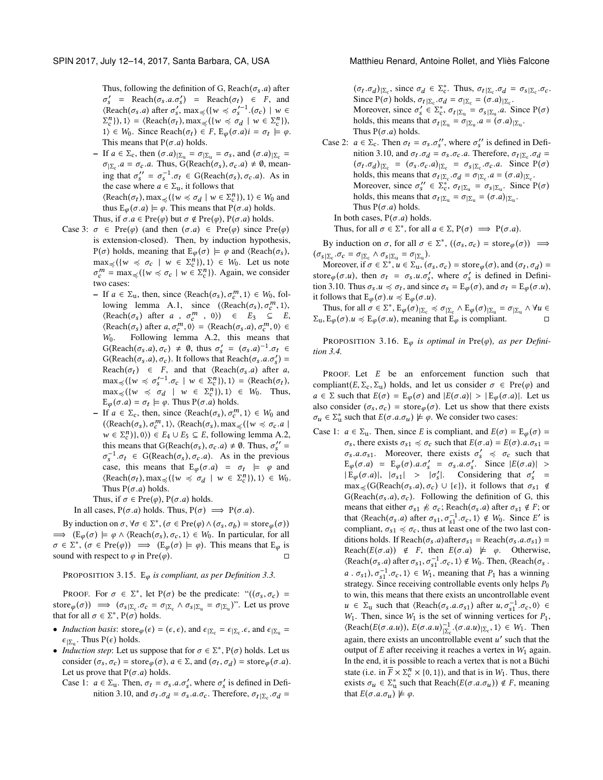Thus, following the definition of G, Reach( $\sigma_s$ .a) after  $\sigma'_{s}$  = Reach $(\sigma_{s}.a.\sigma'_{s})$  = Reach $(\sigma_{t}) \in F$ , and<br>(Reach $(\sigma_{s}.a)$  after  $\sigma'$  may  $(\mu_{s'} \prec \sigma'^{-1}(\sigma_{s})) |_{s'} \in$  $\langle$ Reach( $\sigma_s$ .*a*) after  $\sigma'_s$ , max  $\prec$ ({w  $\prec \sigma'_s$ <sup>-1</sup>.( $\sigma_c$ ) | w  $\in$ <br> $\Sigma^n$ )) 1) - (Reach( $\sigma_s$ ) max (({w  $\prec \sigma_s$ ) | w  $\in \Sigma^n$ ))  $\begin{array}{l} (n) \\ (n) \end{array}$ ,  $( \forall x \in \mathbb{R}^n )$ ,  $( w \leq \sigma_d | w \in \mathbb{R}^n )$ ,  $( w \leq w \leq w \in \mathbb{R}^n )$  $1$ ) ∈ W<sub>0</sub>. Since Reach(σ<sub>t</sub>) ∈ F, E<sub>φ</sub>(σ.a)i = σ<sub>t</sub>  $\models$  φ.<br>This means that P(σ, a) holds This means that  $P(\sigma.a)$  holds.

– If  $a \in \Sigma_c$ , then  $(\sigma.a)|\Sigma_u = \sigma|\Sigma_u = \sigma s$ , and  $(\sigma.a)|\Sigma_c =$ <br>  $\sigma \equiv \sigma_a a$ . Thus  $G(\text{Reach}(\sigma \mid \sigma, a) \neq \emptyset$  mean.  $\sigma_{\vert \Sigma_c}$ .a =  $\sigma_c$ .a. Thus, G(Reach( $\sigma_s$ ),  $\sigma_c$ .a)  $\neq \emptyset$ , meaning that  $\sigma_s' = \sigma_s^{-1} \cdot \sigma_t \in G(\text{Reach}(\sigma_s), \sigma_c.a)$ . As in the case where  $a \in \Sigma_a$ , it follows that the case where  $a \in \Sigma_u$ , it follows that<br>  $\angle$ Beach( $\sigma$ ) may  $\angle$ ( $\angle u \angle \sigma$ )  $w \in \Sigma^h$  $\langle$ Reach $(\sigma_t)$ , max  $\preccurlyeq$   $\{ \{ w \preccurlyeq \sigma_d \mid w \in \Sigma_c^n \} \}$ ,  $1 \rangle \in W_0$  and thus  $F_+(\sigma, a) \models \emptyset$ . This means that  $P(\sigma, a)$  holds thus  $E_{\varphi}(\sigma.a) \models \varphi$ . This means that  $P(\sigma.a)$  holds.

Thus, if  $\sigma.a \in Pre(\varphi)$  but  $\sigma \notin Pre(\varphi)$ ,  $P(\sigma.a)$  holds.

- Case 3:  $\sigma \in \text{Pre}(\varphi)$  (and then  $(\sigma.a) \in \text{Pre}(\varphi)$  since  $\text{Pre}(\varphi)$ is extension-closed). Then, by induction hypothesis, P(σ) holds, meaning that  $E_{\varphi}(\sigma) \models \varphi$  and  $\langle$ Reach(σ<sub>s</sub>),  $\max_{\mathbf{x}} \left\{ (w \preccurlyeq \sigma_c \mid w \in \Sigma_{c}^{n}) , 1 \right\} \in W_0.$  Let us note  $\sigma_c^m = \max_{\preccurlyeq} (\{w \preccurlyeq \sigma_c \mid w \in \Sigma_c^n\})$ . Again, we consider two cases: two cases:
	- If  $a \in \Sigma_u$ , then, since  $\langle Readh(\sigma_s), \sigma_c^m, 1 \rangle \in W_0$ , fol-<br>lowing Jemma A 1, since  $\langle Readh(\sigma), \sigma_c^m, 1 \rangle$ lowing lemma [A.1,](#page-10-1) since  $(\langle \text{Reach}(\sigma_s), \sigma_c^m, 1 \rangle,$ <br>  $(\text{Reach}(\sigma_s), \text{after } \sigma_m^m, 0) \rangle \in F_s \subset F_s$  $\langle$ Reach $(\sigma_s)$  after  $a$ ,  $\sigma_c^m$ , 0))  $\in$   $E_3 \subseteq E$ ,<br>  $\langle$ Reach $(\sigma_s)$  after  $a \sigma_m^m$  0)  $\in$  /Reach $(\sigma_s a) \sigma_m^m$  0)  $\in$  $\langle \text{Reach}(\sigma_s) \text{ after } a, \sigma_c^m, 0 \rangle = \langle \text{Reach}(\sigma_s, a), \sigma_c^m, 0 \rangle \in \mathbb{W}$ . Following Jemma A 2 this means that W<sub>0</sub>. Following lemma [A.2,](#page-10-2) this means that  $G(\text{Reach}(\sigma_s.a), \sigma_c) \neq \emptyset$ , thus  $\sigma'_s = (\sigma_s.a)^{-1}.\sigma_t \in G(\text{Reach}(\sigma_a, \sigma'_s))$  $G(Reach(\sigma_s.a), \sigma_c)$ . It follows that Reach $(\sigma_s.a.\sigma'_s)$  =<br>Reach( $\sigma_s$ ) =  $F$  and that (Reach( $\sigma_s$ ) after a Reach( $\sigma_t$ )  $\in$  F, and that  $\langle$ Reach( $\sigma_s$ , a) after a,<br>may  $\langle$ ( $\mu$ )  $\prec \sigma'^{-1}$   $\sigma$  | $\mu$ )  $\in \Sigma^{n_1}$ ) 1) -  $\langle$ Reach( $\sigma_t$ )  $\max_{\substack{\leq \mu \leq 0}} \left\{ \left\{ w \leq \sigma'_s - 1, \sigma_c \mid w \in \sum_{i=1}^n \mu \right\} \right\}$ , 1) = {Reach( $\sigma_t$  $\max_{\prec} (\{w \prec \sigma_d | w \in \Sigma_c^n\}), 1) \in W_0$ . Thus,<br>  $\mathbb{E}_c(\sigma, a) = \sigma_t \vdash a$ . Thus  $P(\sigma, a)$  holds  $E_{\varphi}(\sigma.a) = \sigma_t \models \varphi$ . Thus  $P(\sigma.a)$  holds.<br>If  $a \in \Sigma$  then since  $\langle$ Beach( $\pi$ )  $\sigma$ <sup>m</sup>
	- If  $a \in \Sigma_c$ , then, since  $\langle$ Reach( $\sigma_s$ ),  $\sigma_c^m$ , 1) ∈ W<sub>0</sub> and (*Peach*( $\sigma$ ),  $\sigma_c^m$ , 1) *Peach*( $\sigma$ ), max (*f*) $\sim \sigma$ , a)  $(\langle \text{Reach}(\sigma_s), \sigma_c^m, 1 \rangle, \langle \text{Reach}(\sigma_s), \max_{\preceq} (\{w \preceq \sigma_c, a \mid w \in \Sigma^n) \} \text{ a } )$  $w \in \Sigma_c^n$ , 0), 0)  $\in E_4 \cup E_5 \subseteq E$ , following lemma [A.2,](#page-10-2)<br>this means that  $C(\text{Reach}(\tau), \tau, a) \neq 0$ . Thus  $\tau'' =$ this means that G(Reach( $\sigma_s$ ),  $\sigma_c$ . $a) \neq \emptyset$ . Thus,  $\sigma''_s = \sigma^{-1}$ ,  $\sigma_s \in G(\text{Reach}(\sigma_s), \sigma_s, a)$ . As in the previous  $\sigma_s^{-1} \cdot \sigma_t \in G(\text{Reach}(\sigma_s), \sigma_c, a)$ . As in the previous case, this means that  $F_{\sigma}(g) = \sigma_t \models g$  and case, this means that  $E_{\varphi}(\sigma.a) = \sigma_t \models \varphi$  and  $\langle$  Peach( $\sigma$ ) may  $\langle (hu \leq \sigma + hu \leq \overline{N}^n) \rangle$   $\Rightarrow$   $\forall h \in W_0$  $\langle \text{Reach}(\sigma_t), \max_{\preceq} (\{w \preceq \sigma_d \mid w \in \Sigma_c^n\}), 1 \rangle \in W_0.$ <br>Thus  $P(\sigma, a)$  holds Thus  $P(\sigma.a)$  holds.

Thus, if  $\sigma \in \text{Pre}(\varphi)$ ,  $P(\sigma.a)$  holds.

In all cases,  $P(\sigma.a)$  holds. Thus,  $P(\sigma) \implies P(\sigma.a)$ .

By induction on  $\sigma, \forall \sigma \in \Sigma^*, (\sigma \in \text{Pre}(\varphi) \land (\sigma_s, \sigma_b) = \text{store}_{\varphi}(\sigma))$ <br>  $\rightarrow (F_{\neg}(\sigma) \models \varphi \land (\text{Reach}(\sigma_1), \sigma_2, 1) \in W_0$ . In particular, for all  $\implies$   $(E_{\varphi}(\sigma) \models \varphi \land \langle \text{Reach}(\sigma_s), \sigma_c, 1 \rangle \in W_0$ . In particular, for all  $\sigma \in \Sigma^*$ ,  $(\sigma \in \text{Pre}(\varphi)) \implies (E_{\varphi}(\sigma) \models \varphi)$ . This means that  $E_{\varphi}$  is sound with respect to  $\varphi$  in  $\text{Pre}(\varphi)$ sound with respect to  $\varphi$  in Pre( $\varphi$ ).

<sup>P</sup>ROPOSITION 3.15. <sup>E</sup>φ *is compliant, as per Definition [3.3.](#page-2-6)*

PROOF. For  $\sigma \in \Sigma^*$ , let P( $\sigma$ ) be the predicate: " $((\sigma_s, \sigma_c) =$ store  $(\sigma)$   $\implies$   $(\sigma_{s} | \Sigma_c \cdot \sigma_c = \sigma | \Sigma_c \wedge \sigma_s | \Sigma_u = \sigma | \Sigma_u)$ ". Let us prove that for all  $\sigma \in \Sigma^*$ ,  $P(\sigma)$  holds.

- *Induction basis*:  $\text{store}_{\varphi}(\epsilon) = (\epsilon, \epsilon)$ , and  $\epsilon_{\vert \Sigma_c} = \epsilon_{\vert \Sigma_c} \cdot \epsilon$ , and  $\epsilon_{\vert \Sigma_u} = \epsilon_{\vert \Sigma_u}$ .  $\epsilon_{\vert \Sigma_{\rm u}}$ . Thus P( $\epsilon$ ) holds.<br>Induction step: Let us
- *Induction step*: Let us suppose that for  $\sigma \in \Sigma^*$ , P( $\sigma$ ) holds. Let us consider  $(\sigma, \sigma)$  = store  $(\sigma)$ ,  $\sigma \in \Sigma$  and  $(\sigma, \sigma)$  = store  $(\sigma, \sigma)$ consider ( $\sigma_s$ ,  $\sigma_c$ ) = store $\varphi(\sigma)$ ,  $a \in \Sigma$ , and ( $\sigma_t$ ,  $\sigma_d$ ) = store $\varphi(\sigma.a)$ .<br>Let us prove that  $P(\sigma, a)$  holds Let us prove that  $P(\sigma.a)$  holds.
	- Case 1:  $a \in \Sigma_u$ . Then,  $\sigma_t = \sigma_s.a.\sigma'_s$ , where  $\sigma'_s$  is defined in Definition 3.10, and  $\sigma_s \sigma_s = \sigma_s a \sigma_s$ . Therefore,  $\sigma_s = \sigma_s \sigma_s$ . nition [3.10,](#page-3-1) and  $\sigma_t \cdot \sigma_d = \sigma_s \cdot a \cdot \sigma_c$ . Therefore,  $\sigma_t|_{\Sigma_c} \cdot \sigma_d =$

 $(\sigma_t \cdot \sigma_d)|_{\Sigma_c}$ , since  $\sigma_d \in \Sigma_c^*$ . Thus,  $\sigma_t|_{\Sigma_c} \cdot \sigma_d = \sigma_s|_{\Sigma_c} \cdot \sigma_c$ .<br>Since  $P(\sigma)$  holds  $\sigma_{\rm obs} = \sigma_s = \sigma_{\rm obs} = (\sigma_a)_{\rm obs}$ . Since P( $\sigma$ ) holds,  $\sigma_t | \Sigma_c \cdot \sigma_d = \sigma | \Sigma_c = (\sigma.a) | \Sigma_c$ .<br>Moreover since  $\sigma' \in \Sigma^*$ ,  $\sigma_{\text{min}} = \sigma_{\text{min}}$ , as Moreover, since  $\sigma'_{s} \in \sum_{c}^{*} \sigma_{t} | \Sigma_{u} = \sigma_{s} | \Sigma_{u}$ . Since  $P(\sigma)$ <br>holds this means that  $\sigma_{v} | n = \sigma_{v} | a = (\sigma, a) | n$ holds, this means that  $\sigma_t|_{\Sigma_{\text{u}}} = \sigma_{|\Sigma_{\text{u}}}.a = (\sigma.a)|_{\Sigma_{\text{u}}}$ .<br>Thus  $P(\sigma,a)$  holds Thus  $P(\sigma.a)$  holds.

Case 2:  $a \in \Sigma_c$ . Then  $\sigma_t = \sigma_s$ ,  $\sigma''_s$ , where  $\sigma''_s$  is defined in Definition 3.10, and  $\sigma_s$ ,  $\sigma_s = \sigma_s$ ,  $\sigma_s$ . Therefore,  $\sigma_{\text{min}}$ ,  $\sigma_s = \sigma_s$ nition [3.10,](#page-3-1) and  $\sigma_t \cdot \sigma_d = \sigma_s \cdot \sigma_c \cdot a$ . Therefore,  $\sigma_t |_{\Sigma_c} \cdot \sigma_d =$ <br>  $(\sigma_t, \sigma_t) |_{\Sigma_c} = (\sigma_t, \sigma_t, a) |_{\Sigma_c} = \sigma_t |_{\Sigma_c} \sigma_t, a$ . Since  $P(\sigma)$  $(\sigma_t \cdot \sigma_d)|_{\Sigma_c} = (\sigma_s \cdot \sigma_c \cdot a)|_{\Sigma_c} = \sigma_s|_{\Sigma_c} \cdot \sigma_c \cdot a$ . Since  $P(\sigma)$ <br>holds this means that  $\sigma_{\rm obs} = \sigma_s = \sigma_s a - (\sigma_a)_{\rm ins}$ holds, this means that  $\sigma_t |_{\Sigma_c} \sigma_d = \sigma_{|\Sigma_c} a = (\sigma.a)|_{\Sigma_c}$ .<br>Moreover since  $\sigma'' \in \Sigma^*$ ,  $\sigma_{\text{min}} = \sigma_{\text{min}}$ . Since I Moreover, since  $\sigma_s' \in \sum_{k=0}^{+\infty} \sigma_t |_{\sum_{k=0}^{\infty}} = \sigma_s |_{\sum_{k=0}^{\infty}}$ . Since  $P(\sigma)$ holds, this means that  $\sigma_t | \Sigma_u = \sigma | \Sigma_u = (\sigma.a) | \Sigma_u$ .<br>Thus  $P(\sigma.a)$  holds Thus  $P(\sigma.a)$  holds. In both cases,  $P(\sigma.a)$  holds.

Thus, for all  $\sigma \in \Sigma^*$ , for all  $a \in \Sigma$ ,  $P(\sigma) \implies P(\sigma.a)$ .

By induction on  $\sigma$ , for all  $\sigma \in \Sigma^*$ ,  $((\sigma_s, \sigma_c) = \text{store}_{\varphi}(\sigma)) \implies$  $(\sigma_{s\vert \Sigma_c} \cdot \sigma_c = \sigma_{\vert \Sigma_c} \wedge \sigma_{s\vert \Sigma_u} = \sigma_{\vert \Sigma_u}).$ <br>Moreover if  $\sigma \in \Sigma^*$ ,  $u \in \Sigma$ 

Moreover, if  $\sigma \in \Sigma^*$ ,  $u \in \Sigma_u$ ,  $(\sigma_S, \sigma_C) = \text{store}_{\varphi}(\sigma)$ , and  $(\sigma_t, \sigma_d) =$ <br>re  $(\sigma, u)$ , then  $\sigma_t = \sigma_t u \sigma'$ , where  $\sigma'$  is defined in Definistore  $\varphi(\sigma, u)$ , then  $\sigma_t = \sigma_s u \cdot \sigma'_s$ , where  $\sigma'_s$  is defined in Definition 3.10. Thus  $\sigma_u u \prec \sigma_s$ , and since  $\sigma_u = \overline{F}_s(\sigma_s)$  and  $\sigma_u = \overline{F}_s(\sigma, u)$ . tion [3.10.](#page-3-1) Thus  $\sigma_s u \preccurlyeq \sigma_t$ , and since  $\sigma_s = \mathcal{E}_{\varphi}(\sigma)$ , and  $\sigma_t = \mathcal{E}_{\varphi}(\sigma.u)$ , it follows that  $E_{\varphi}(\sigma) \cdot u \preccurlyeq E_{\varphi}(\sigma \cdot u)$ .

Thus, for all  $\sigma \in \Sigma^*$ ,  $E_{\varphi}(\sigma)|_{\Sigma_c} \preccurlyeq \sigma|_{\Sigma_c} \wedge E_{\varphi}(\sigma)|_{\Sigma_u} = \sigma|_{\Sigma_u} \wedge \forall u \in E$ <br>  $E_{\sigma}(\sigma) u \preccurlyeq E_{\sigma}(\sigma)$  meaning that  $E_{\sigma}$  is compliant  $\Sigma_{u}, E_{\varphi}(\sigma).u \preccurlyeq E_{\varphi}(\sigma.u)$ , meaning that  $E_{\varphi}$  is compliant.

PROPOSITION 3.16. E<sub> $\varphi$ </sub> is optimal in Pre $(\varphi)$ , as per Defini*tion [3.4.](#page-2-7)*

PROOF. Let E be an enforcement function such that compliant(E,  $\Sigma_c$ ,  $\Sigma_u$ ) holds, and let us consider  $\sigma \in Pre(\varphi)$  and  $a \in \Sigma$  such that  $E(\sigma) = E_{\varphi}(\sigma)$  and  $|E(\sigma.a)| > |E_{\varphi}(\sigma.a)|$ . Let us also consider  $(\sigma_s, \sigma_c)$  = store $_\varphi(\sigma)$ . Let us show that there exists  $\sigma_u \in \Sigma_u^*$  such that  $E(\sigma.a.\sigma_u) \not\models \varphi$ . We consider two cases:

Case 1:  $a \in \Sigma_u$ . Then, since E is compliant, and  $E(\sigma) = E_{\varphi}(\sigma) =$  $\sigma_s$ , there exists  $\sigma_{s1} \preccurlyeq \sigma_c$  such that  $E(\sigma.a) = E(\sigma).a.\sigma_{s1} =$  $\sigma_s$ .a. $\sigma_{s1}$ . Moreover, there exists  $\sigma'_s \preccurlyeq \sigma_c$  such that  $F_{\sigma}(\sigma, a) = F_{\sigma}(\sigma, a, \sigma' = \sigma, a, \sigma'$ . Since  $|F(\sigma, a)| >$  $E_{\varphi}(\sigma.a) = E_{\varphi}(\sigma).a.\sigma'_{s} = \sigma_{s}.a.\sigma'_{s}.$  Since  $|E(\sigma.a)| >$  $|\dot{E}_{\varphi}(\sigma.a)|$ ,  $|\sigma_{s1}| > |\sigma'_{s}|$ . Considering that  $\sigma'_{s}$  =  $\max_{s \in \mathcal{S}} (G(\text{Reach}(\sigma_s.a), \sigma_c) \cup \{\epsilon\}),$  it follows that  $\sigma_{s1} \notin G(\text{Reach}(\sigma_a a), \sigma_a)$ . Following the definition of G, this G(Reach( $\sigma_s$ .a),  $\sigma_c$ ). Following the definition of G, this means that either  $\sigma_{s1} \nless \sigma_c$ ; Reach( $\sigma_s$ .*a*) after  $\sigma_{s1} \notin F$ ; or that  $\langle$ Reach $(\sigma_s, a)$  after  $\sigma_{s1}, \sigma_{s1}^{-1}, \sigma_c, 1 \rangle \notin W_0$ . Since E' is<br>compliant  $\sigma_{s1} \prec \sigma$ , thus at least one of the two last conthat  $\langle N_{s1}, \sigma_{s1}, \sigma_{s1}, \sigma_{s1}, \sigma_{s1}, \sigma_{s1} \rangle$  and  $\sigma_{s1}$  and  $\sigma_{s1}$  and  $\sigma_{s1}$  and  $\sigma_{s1}$  and  $\sigma_{s1}$  and  $\sigma_{s1}$  and  $\sigma_{s2}$  and  $\sigma_{s1}$  and  $\sigma_{s2}$  and  $\sigma_{s1}$  and  $\sigma_{s2}$  and  $\sigma_{s1}$  and  $\sigma_{s2}$  and ditions holds. If Reach( $\sigma_s$ .*a*)after $\sigma_{s1}$  = Reach( $\sigma_s$ .*a*. $\sigma_{s1}$ ) = Reach( $E(\sigma.a)$ )  $\notin F$ , then  $E(\sigma.a)$   $\not\models \varphi$ . Otherwise,  $\langle$ Reach( $\sigma_s$ , *a*) after  $\sigma_{s1}, \sigma_{s1}^{-1}, \sigma_c$ , 1)  $\notin W_0$ . Then,  $\langle$ Reach( $\sigma_s$ , ( $x$ cacin( $\sigma_s$ :*a)* and  $\sigma_{s1}$ ,  $\sigma_{s1}$ ,  $\sigma_{s1}$ ,  $\sigma_{s1}$ ),  $\sigma_{s1}$ ,  $\sigma_{s1}$ ),  $\sigma_{s1}$ ,  $\sigma_{s2}$  is  $\sigma_{s1}$ , meaning that  $P_1$  has a winning<br>strategy. Since receiving controllable events only below  $P_2$  $\alpha$  :  $\sigma_{s1}$ ,  $\sigma_{s1}$  .  $\sigma_c$ ,  $1/ \in w_1$ , including that  $1$ <sub>1</sub> has a whilling strategy. Since receiving controllable events only helps  $P_0$ to win, this means that there exists an uncontrollable event  $u \in \Sigma_u$  such that  $\langle \text{Reach}(\sigma_s.a.\sigma_{s1}) \text{ after } u, \sigma_{s1}^{-1}.\sigma_c, 0 \rangle \in W$ .<br>
We Then since W<sub>c</sub> is the set of winning vertices for P<sub>c</sub>  $u \in \Sigma_1$  such that (incacting  $\sum_{s=1}^{\infty} u_s v_{s+1} v_c, v_i \in W_1$ . Then, since  $W_1$  is the set of winning vertices for  $P_1$ ,  $\langle$ Reach(E(σ.a.u)),  $E(\sigma.a.u)_{\Sigma_c}^{-1} \cdot (\sigma.a.u)_{|\Sigma_c}$ , 1)  $\in W_1$ . Then  $\text{again, there exists an uncontrolledible event } u' \text{ such that the}$ output of  $E$  after receiving it reaches a vertex in  $W_1$  again. In the end, it is possible to reach a vertex that is not a Büchi state (i.e. in  $\overline{F} \times \Sigma_c^h \times \{0, 1\}$ ), and that is in  $W_1$ . Thus, there exists  $\sigma_u \in \Sigma_u^*$  such that Reach( $E(\sigma.a.\sigma_u)$ )  $\notin F$ , meaning that  $E(\sigma.a.\sigma_u) \not\models \varnothing$ that  $E(\sigma.a.\sigma_u) \not\models \varphi$ .